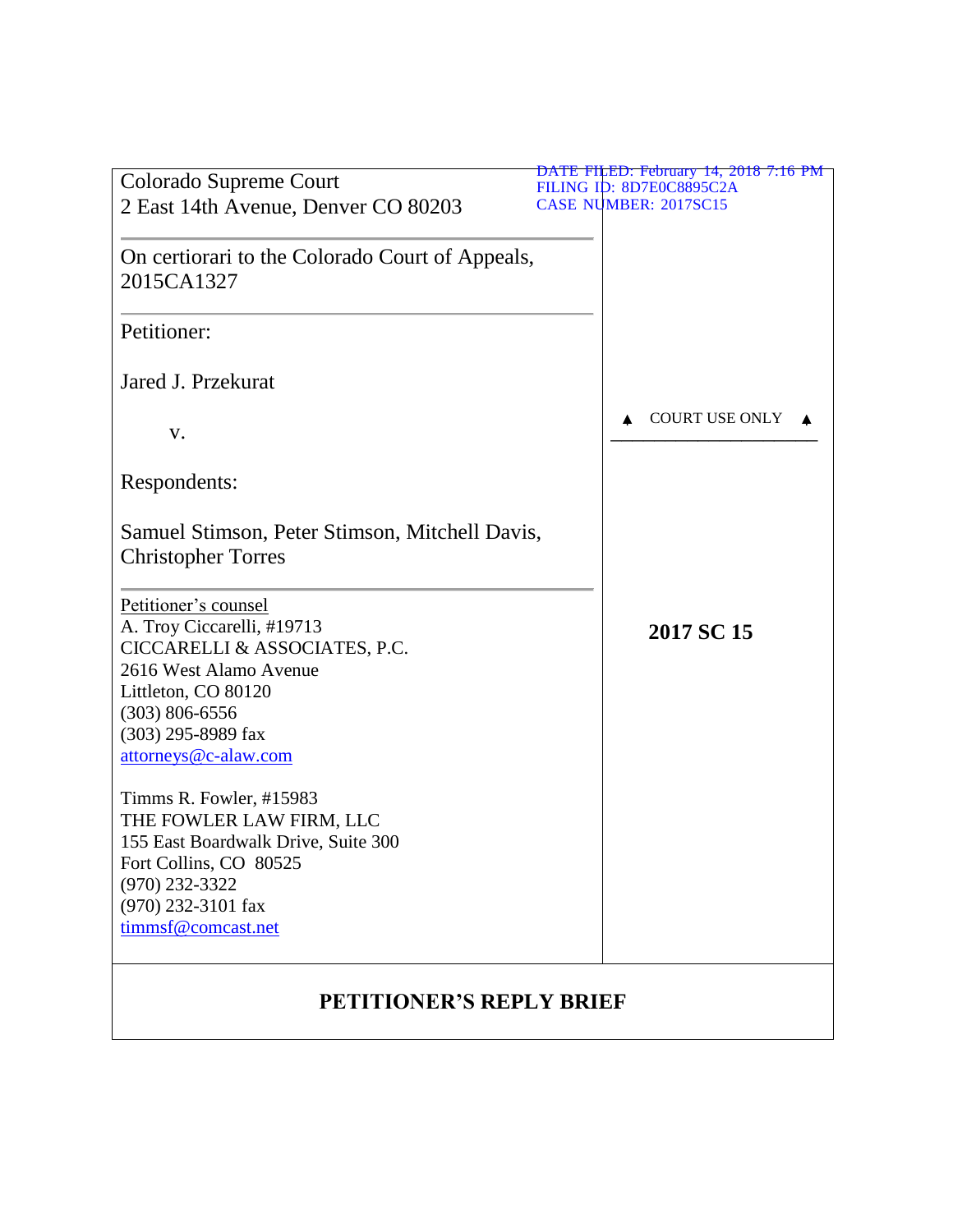|                                                                                                                                                                                                          | DATE FILED: February 14, 2018 7:16 PM |
|----------------------------------------------------------------------------------------------------------------------------------------------------------------------------------------------------------|---------------------------------------|
| Colorado Supreme Court                                                                                                                                                                                   | FILING ID: 8D7E0C8895C2A              |
| 2 East 14th Avenue, Denver CO 80203                                                                                                                                                                      | <b>CASE NUMBER: 2017SC15</b>          |
| On certiorari to the Colorado Court of Appeals,<br>2015CA1327                                                                                                                                            |                                       |
| Petitioner:                                                                                                                                                                                              |                                       |
| Jared J. Przekurat                                                                                                                                                                                       |                                       |
| V.                                                                                                                                                                                                       | <b>COURT USE ONLY</b>                 |
| Respondents:                                                                                                                                                                                             |                                       |
| Samuel Stimson, Peter Stimson, Mitchell Davis,<br><b>Christopher Torres</b>                                                                                                                              |                                       |
| Petitioner's counsel<br>A. Troy Ciccarelli, #19713<br>CICCARELLI & ASSOCIATES, P.C.<br>2616 West Alamo Avenue<br>Littleton, CO 80120<br>$(303) 806 - 6556$<br>(303) 295-8989 fax<br>attorneys@c-alaw.com | 2017 SC 15                            |
| Timms R. Fowler, #15983<br>THE FOWLER LAW FIRM, LLC<br>155 East Boardwalk Drive, Suite 300<br>Fort Collins, CO 80525<br>$(970)$ 232-3322<br>(970) 232-3101 fax<br>timmsf@comcast.net                     |                                       |
| <b>PETITIONER'S REPLY BRIEF</b>                                                                                                                                                                          |                                       |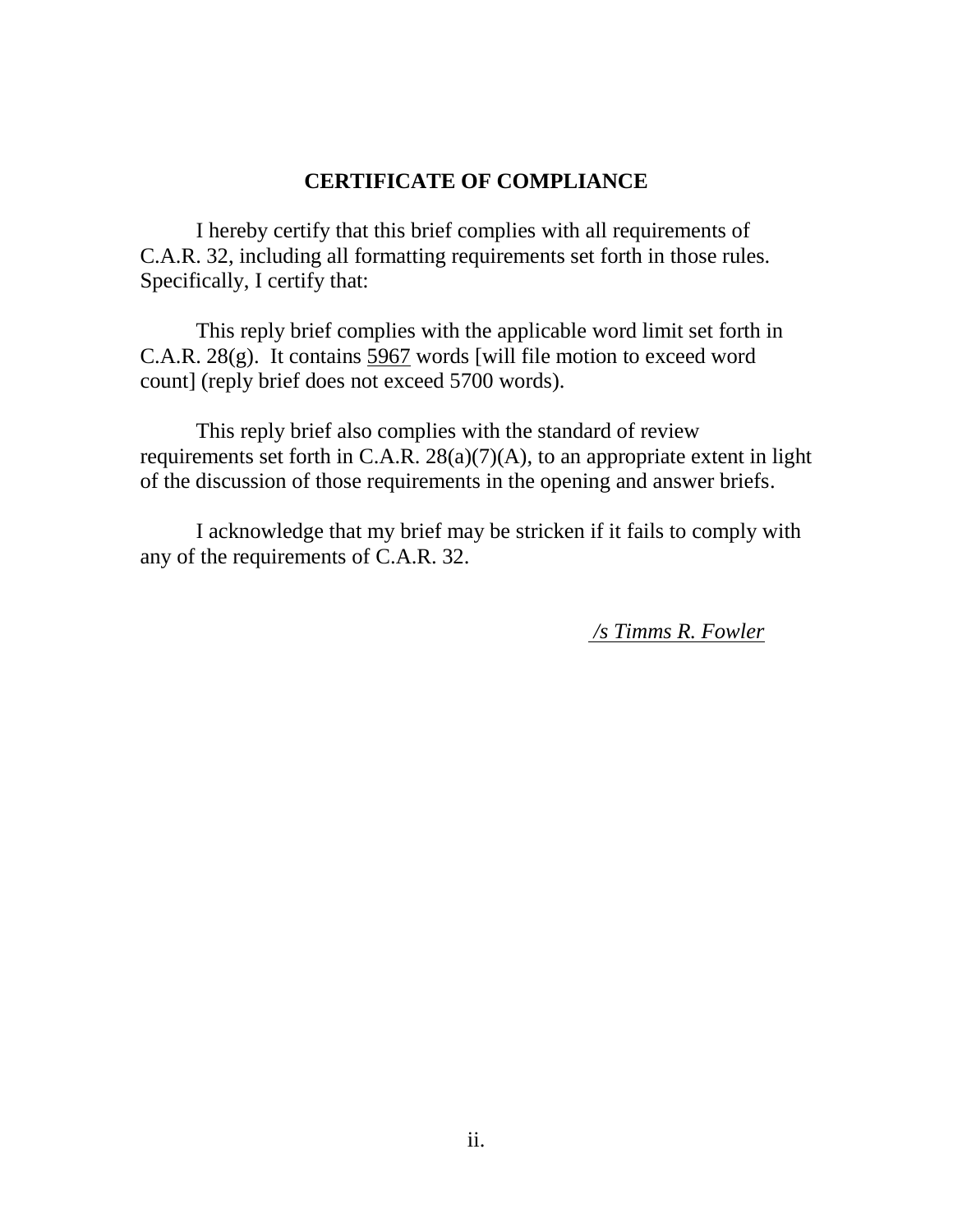#### **CERTIFICATE OF COMPLIANCE**

I hereby certify that this brief complies with all requirements of C.A.R. 32, including all formatting requirements set forth in those rules. Specifically, I certify that:

This reply brief complies with the applicable word limit set forth in C.A.R. 28(g). It contains 5967 words [will file motion to exceed word count] (reply brief does not exceed 5700 words).

This reply brief also complies with the standard of review requirements set forth in C.A.R.  $28(a)(7)(A)$ , to an appropriate extent in light of the discussion of those requirements in the opening and answer briefs.

I acknowledge that my brief may be stricken if it fails to comply with any of the requirements of C.A.R. 32.

*/s Timms R. Fowler*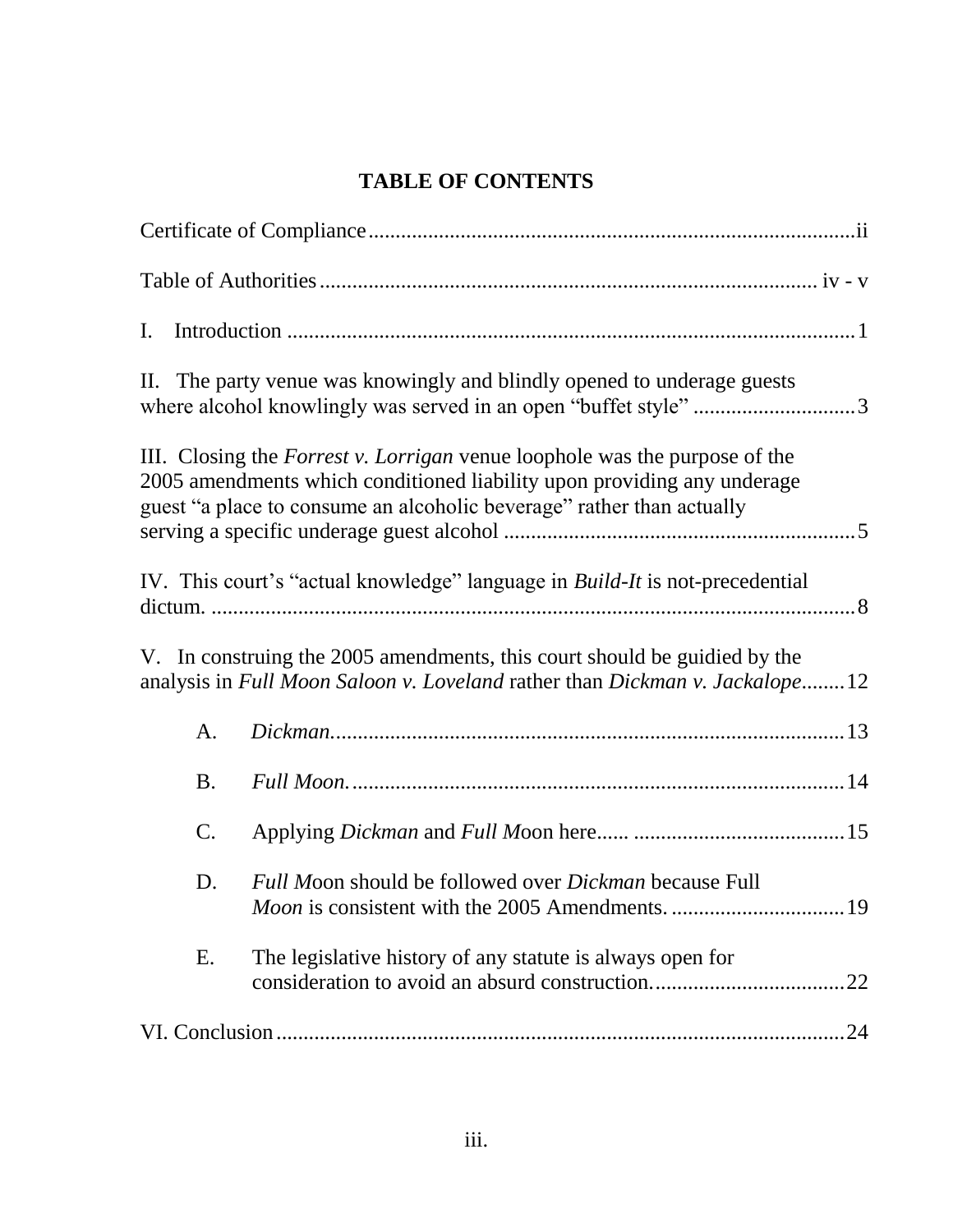# **TABLE OF CONTENTS**

| I.        |                                                                                                                                                                                                                                       |     |
|-----------|---------------------------------------------------------------------------------------------------------------------------------------------------------------------------------------------------------------------------------------|-----|
|           | II. The party venue was knowingly and blindly opened to underage guests<br>where alcohol knowlingly was served in an open "buffet style" 3                                                                                            |     |
|           | III. Closing the <i>Forrest v. Lorrigan</i> venue loophole was the purpose of the<br>2005 amendments which conditioned liability upon providing any underage<br>guest "a place to consume an alcoholic beverage" rather than actually |     |
|           | IV. This court's "actual knowledge" language in <i>Build-It</i> is not-precedential                                                                                                                                                   |     |
|           | V. In construing the 2005 amendments, this court should be guidied by the<br>analysis in Full Moon Saloon v. Loveland rather than Dickman v. Jackalope12                                                                              |     |
| A.        |                                                                                                                                                                                                                                       |     |
| <b>B.</b> |                                                                                                                                                                                                                                       |     |
| C.        |                                                                                                                                                                                                                                       |     |
| D.        | Full Moon should be followed over Dickman because Full                                                                                                                                                                                | 19  |
| Ε.        | The legislative history of any statute is always open for                                                                                                                                                                             | .22 |
|           |                                                                                                                                                                                                                                       |     |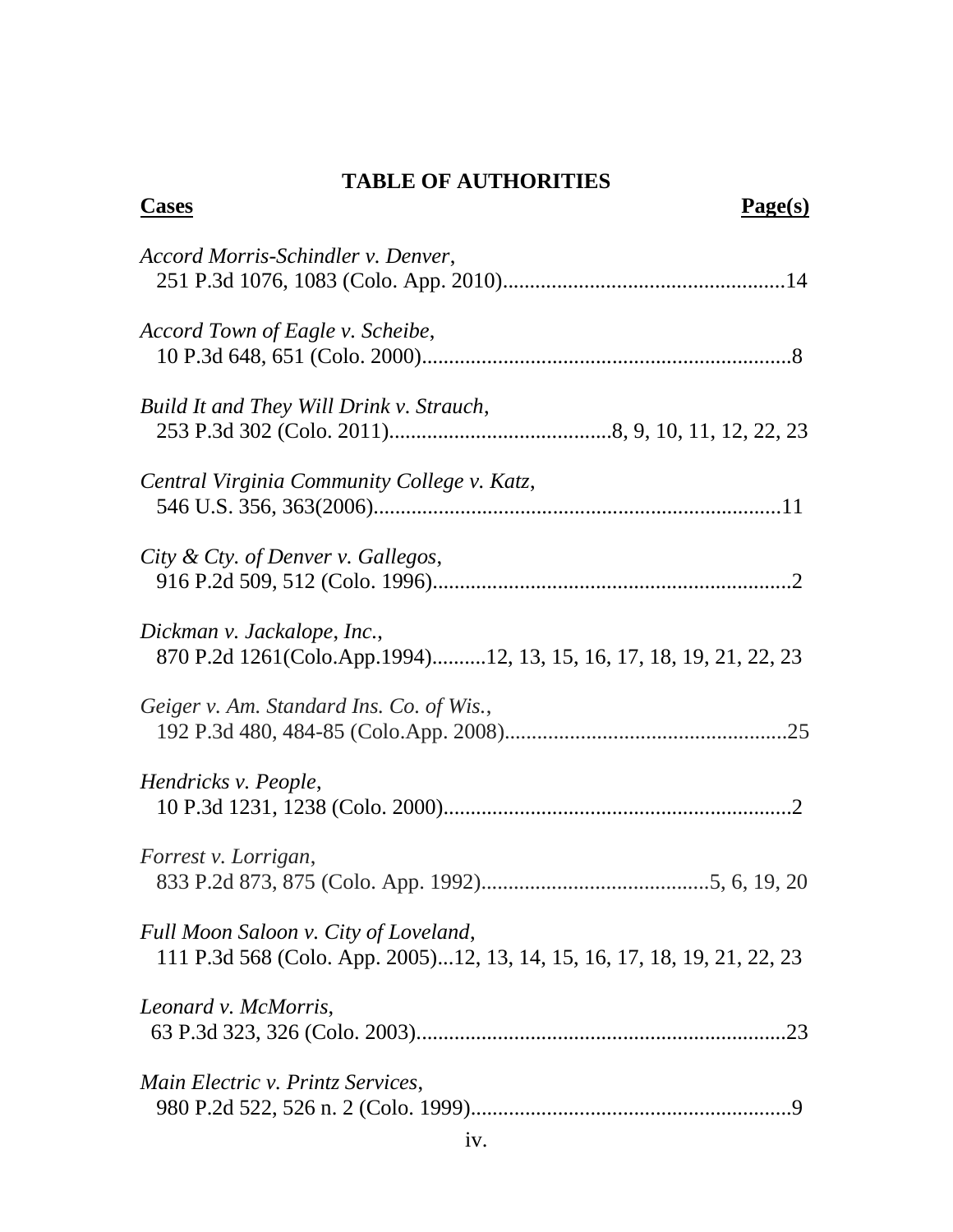# **TABLE OF AUTHORITIES**

| <b>Cases</b><br>Page(s)                                                                                           |
|-------------------------------------------------------------------------------------------------------------------|
| Accord Morris-Schindler v. Denver,                                                                                |
| Accord Town of Eagle v. Scheibe,                                                                                  |
| Build It and They Will Drink v. Strauch,                                                                          |
| Central Virginia Community College v. Katz,                                                                       |
| City & Cty. of Denver v. Gallegos,                                                                                |
| Dickman v. Jackalope, Inc.,<br>870 P.2d 1261(Colo.App.1994)12, 13, 15, 16, 17, 18, 19, 21, 22, 23                 |
| Geiger v. Am. Standard Ins. Co. of Wis.,                                                                          |
| Hendricks v. People,                                                                                              |
| Forrest v. Lorrigan,                                                                                              |
| Full Moon Saloon v. City of Loveland,<br>111 P.3d 568 (Colo. App. 2005)12, 13, 14, 15, 16, 17, 18, 19, 21, 22, 23 |
| Leonard v. McMorris,                                                                                              |
| Main Electric v. Printz Services,                                                                                 |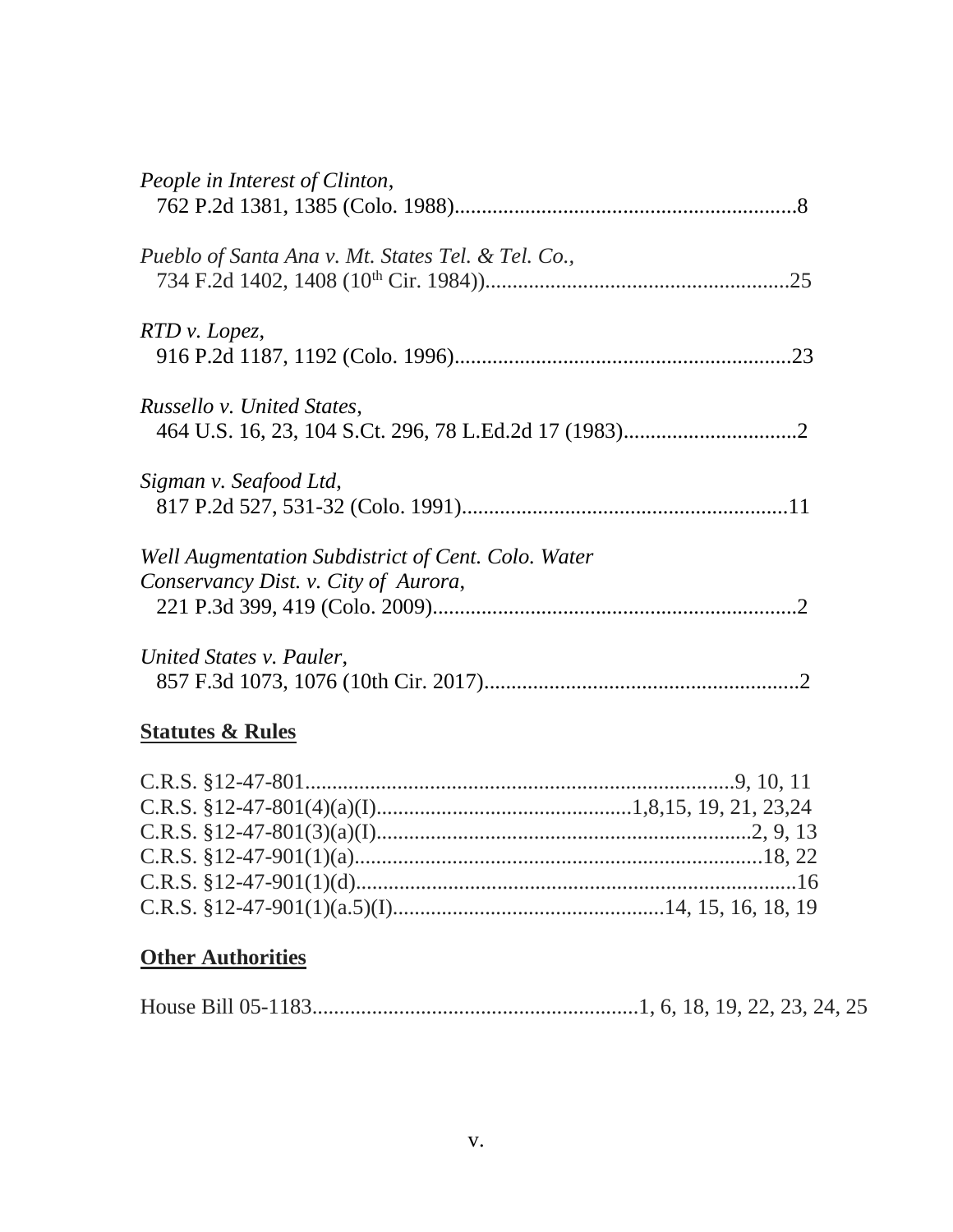| People in Interest of Clinton,                                                             |  |
|--------------------------------------------------------------------------------------------|--|
| Pueblo of Santa Ana v. Mt. States Tel. & Tel. Co.,                                         |  |
| RTD v. Lopez,                                                                              |  |
| Russello v. United States,                                                                 |  |
| Sigman v. Seafood Ltd,                                                                     |  |
| Well Augmentation Subdistrict of Cent. Colo. Water<br>Conservancy Dist. v. City of Aurora, |  |
| United States v. Pauler,                                                                   |  |
| <b>Statutes &amp; Rules</b>                                                                |  |

## C.R.S. §12-47-801...............................................................................9, 10, 11 C.R.S. §12-47-801(4)(a)(I)...............................................1,8,15, 19, 21, 23,24 C.R.S. §12-47-801(3)(a)(I).....................................................................2, 9, 13 C.R.S. §12-47-901(1)(a)...........................................................................18, 22 C.R.S. §12-47-901(1)(d).................................................................................16 C.R.S. §12-47-901(1)(a.5)(I)..................................................14, 15, 16, 18, 19

### **Other Authorities**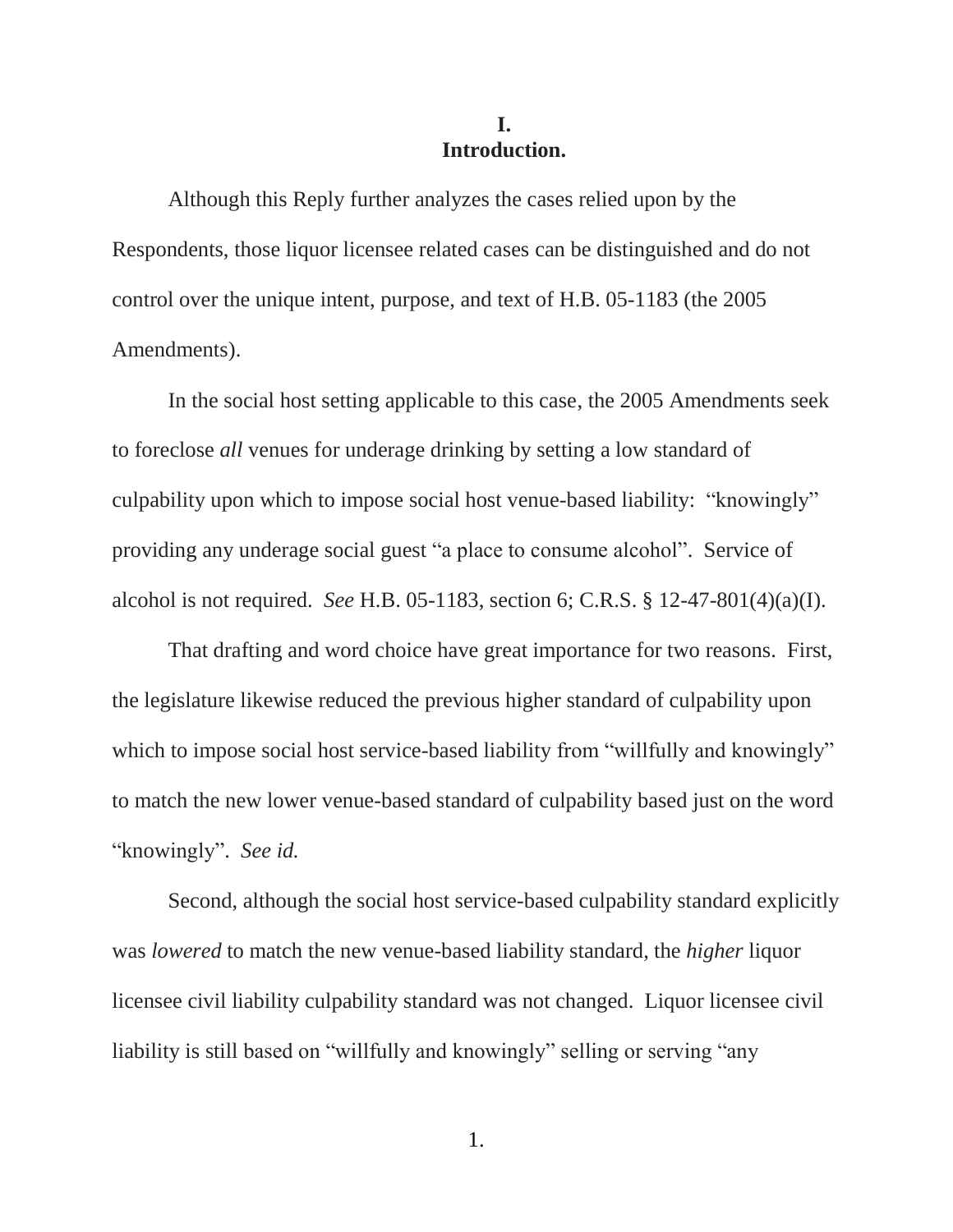### **I. Introduction.**

Although this Reply further analyzes the cases relied upon by the Respondents, those liquor licensee related cases can be distinguished and do not control over the unique intent, purpose, and text of H.B. 05-1183 (the 2005 Amendments).

In the social host setting applicable to this case, the 2005 Amendments seek to foreclose *all* venues for underage drinking by setting a low standard of culpability upon which to impose social host venue-based liability: "knowingly" providing any underage social guest "a place to consume alcohol". Service of alcohol is not required. *See* H.B. 05-1183, section 6; C.R.S. § 12-47-801(4)(a)(I).

That drafting and word choice have great importance for two reasons. First, the legislature likewise reduced the previous higher standard of culpability upon which to impose social host service-based liability from "willfully and knowingly" to match the new lower venue-based standard of culpability based just on the word "knowingly". *See id.* 

Second, although the social host service-based culpability standard explicitly was *lowered* to match the new venue-based liability standard, the *higher* liquor licensee civil liability culpability standard was not changed. Liquor licensee civil liability is still based on "willfully and knowingly" selling or serving "any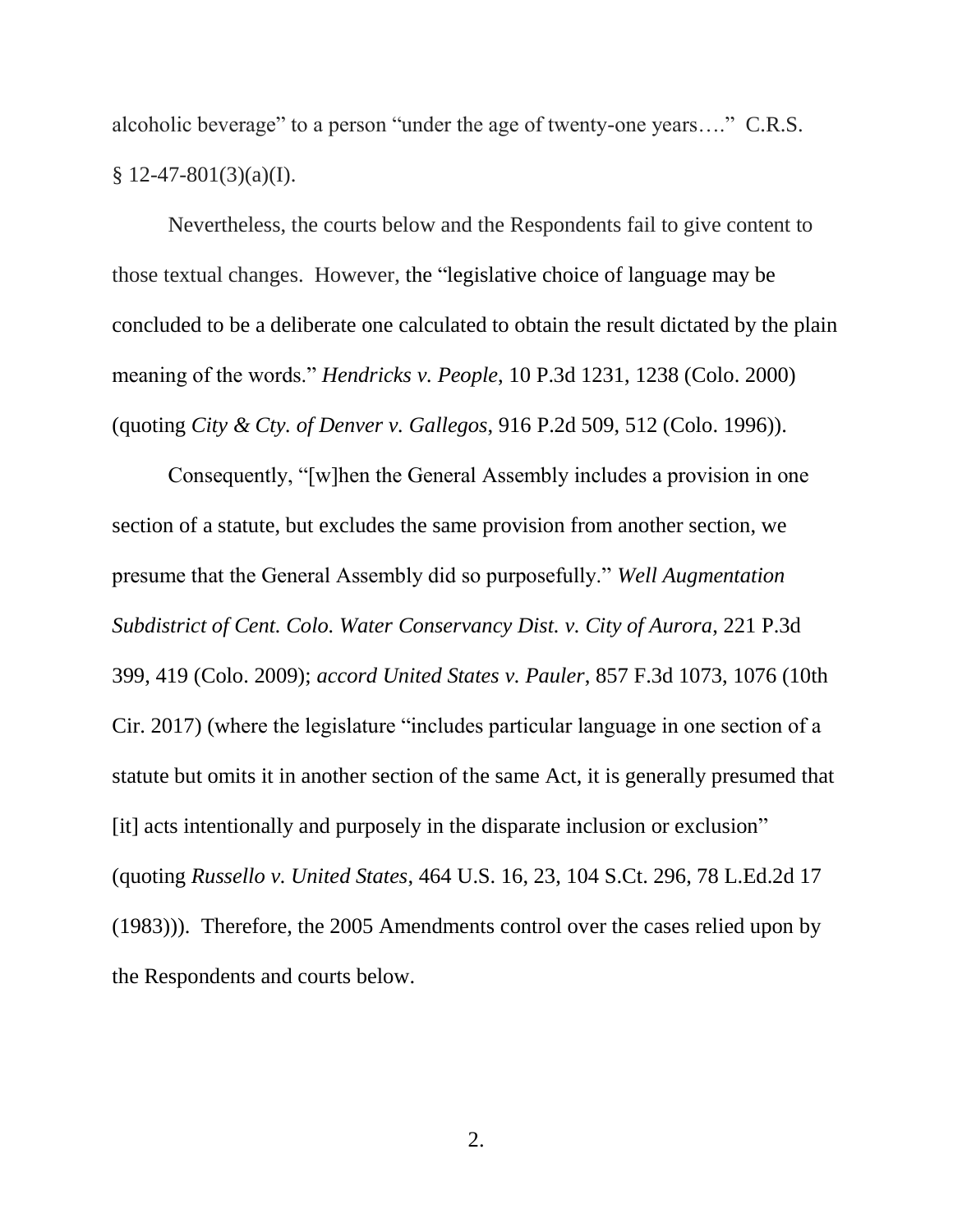alcoholic beverage" to a person "under the age of twenty-one years…." C.R.S.  $§ 12-47-801(3)(a)(I).$ 

Nevertheless, the courts below and the Respondents fail to give content to those textual changes. However, the "legislative choice of language may be concluded to be a deliberate one calculated to obtain the result dictated by the plain meaning of the words." *Hendricks v. People*, 10 P.3d 1231, 1238 (Colo. 2000) (quoting *City & Cty. of Denver v. Gallegos*, 916 P.2d 509, 512 (Colo. 1996)).

Consequently, "[w]hen the General Assembly includes a provision in one section of a statute, but excludes the same provision from another section, we presume that the General Assembly did so purposefully." *Well Augmentation Subdistrict of Cent. Colo. Water Conservancy Dist. v. City of Aurora*, 221 P.3d 399, 419 (Colo. 2009); *accord United States v. Pauler*, 857 F.3d 1073, 1076 (10th Cir. 2017) (where the legislature "includes particular language in one section of a statute but omits it in another section of the same Act, it is generally presumed that [it] acts intentionally and purposely in the disparate inclusion or exclusion" (quoting *Russello v. United States*, 464 U.S. 16, 23, 104 S.Ct. 296, 78 L.Ed.2d 17 (1983))). Therefore, the 2005 Amendments control over the cases relied upon by the Respondents and courts below.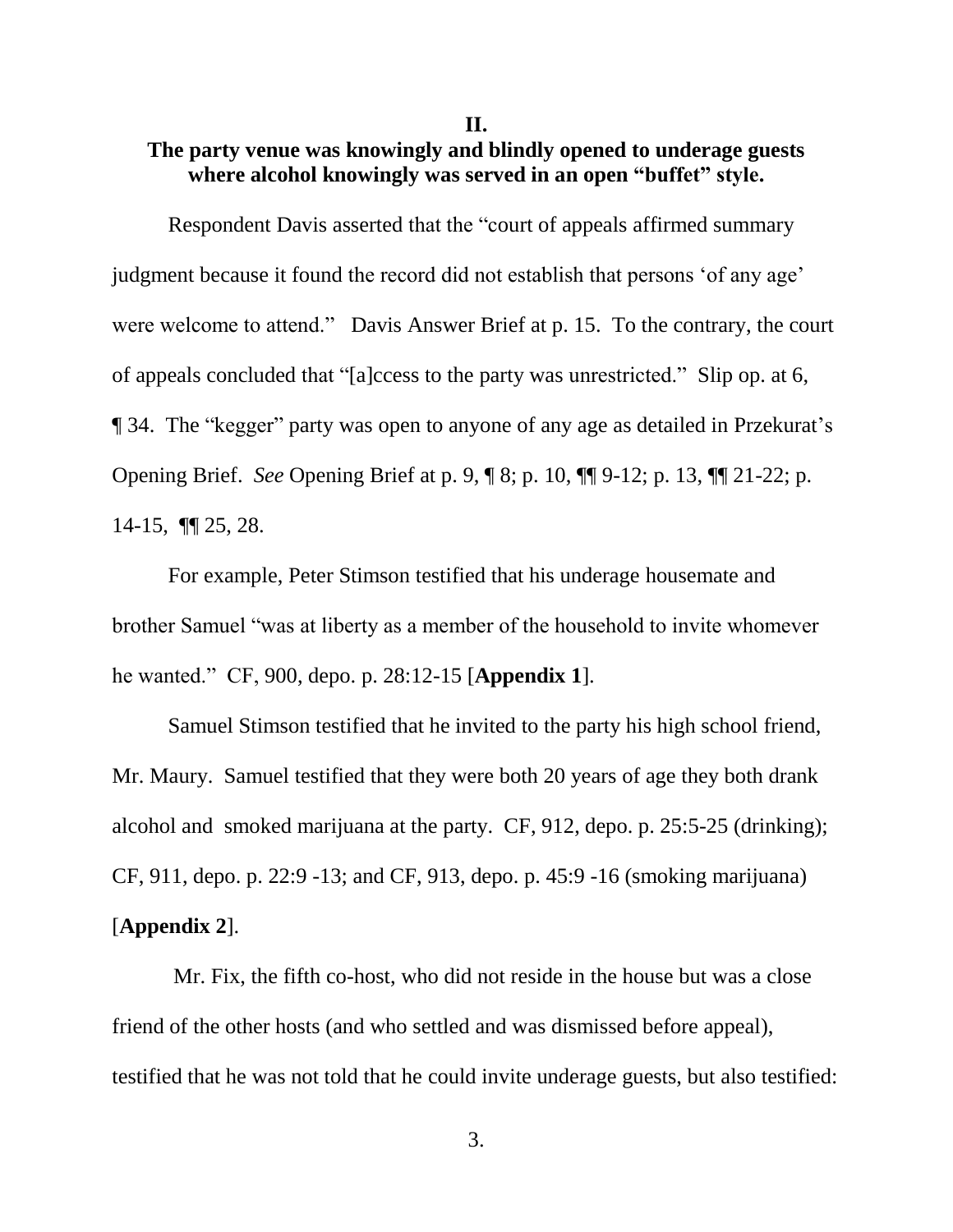**II.**

## **The party venue was knowingly and blindly opened to underage guests where alcohol knowingly was served in an open "buffet" style.**

Respondent Davis asserted that the "court of appeals affirmed summary judgment because it found the record did not establish that persons 'of any age' were welcome to attend." Davis Answer Brief at p. 15. To the contrary, the court of appeals concluded that "[a]ccess to the party was unrestricted." Slip op. at 6, ¶ 34. The "kegger" party was open to anyone of any age as detailed in Przekurat's Opening Brief. *See* Opening Brief at p. 9, ¶ 8; p. 10, ¶¶ 9-12; p. 13, ¶¶ 21-22; p. 14-15, ¶¶ 25, 28.

For example, Peter Stimson testified that his underage housemate and brother Samuel "was at liberty as a member of the household to invite whomever he wanted." CF, 900, depo. p. 28:12-15 [**Appendix 1**].

Samuel Stimson testified that he invited to the party his high school friend, Mr. Maury. Samuel testified that they were both 20 years of age they both drank alcohol and smoked marijuana at the party. CF, 912, depo. p. 25:5-25 (drinking); CF, 911, depo. p. 22:9 -13; and CF, 913, depo. p. 45:9 -16 (smoking marijuana) [**Appendix 2**].

Mr. Fix, the fifth co-host, who did not reside in the house but was a close friend of the other hosts (and who settled and was dismissed before appeal), testified that he was not told that he could invite underage guests, but also testified: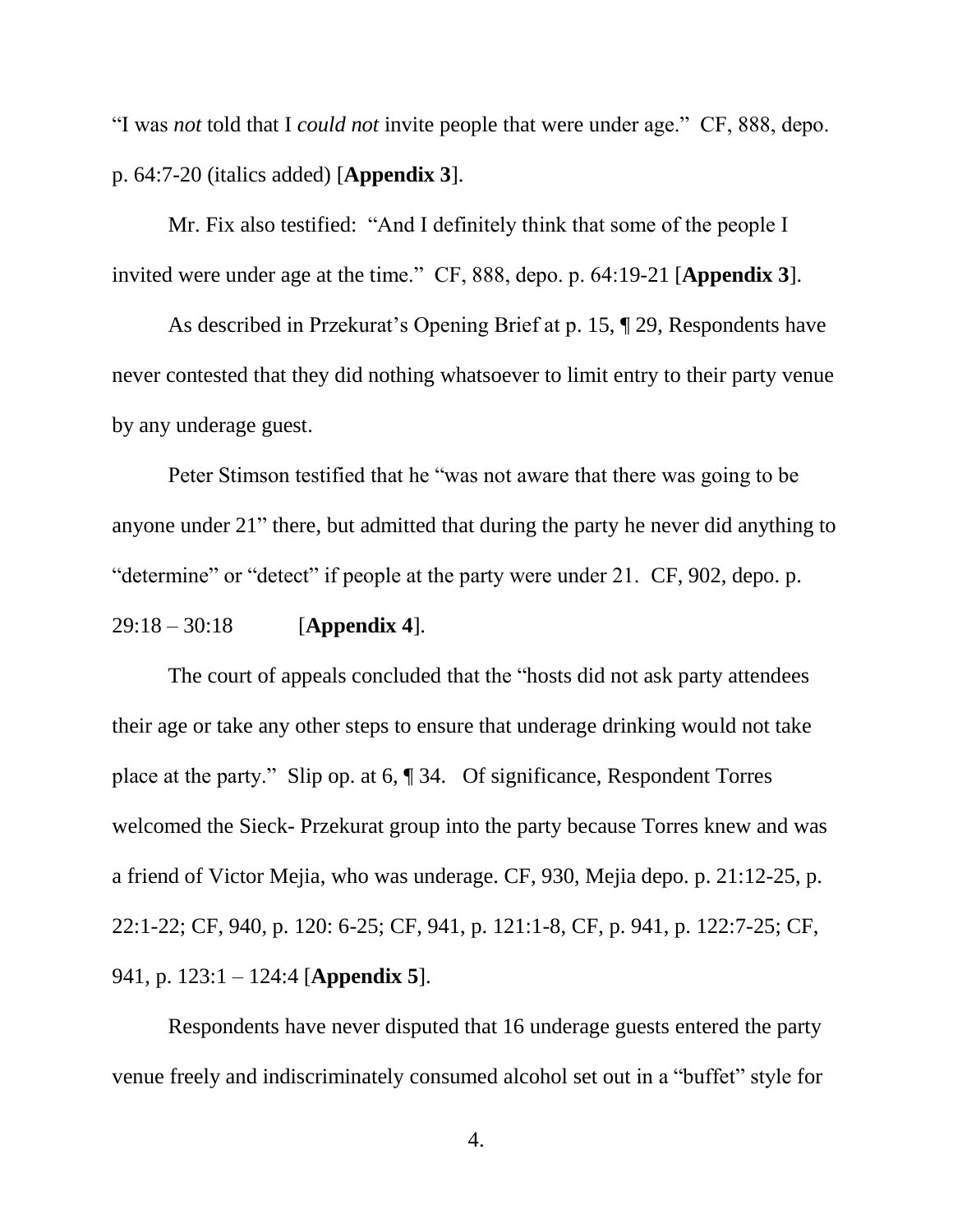"I was *not* told that I *could not* invite people that were under age." CF, 888, depo. p. 64:7-20 (italics added) [**Appendix 3**].

Mr. Fix also testified: "And I definitely think that some of the people I invited were under age at the time." CF, 888, depo. p. 64:19-21 [**Appendix 3**].

As described in Przekurat's Opening Brief at p. 15, ¶ 29, Respondents have never contested that they did nothing whatsoever to limit entry to their party venue by any underage guest.

Peter Stimson testified that he "was not aware that there was going to be anyone under 21" there, but admitted that during the party he never did anything to "determine" or "detect" if people at the party were under 21. CF, 902, depo. p.

29:18 – 30:18 [**Appendix 4**].

The court of appeals concluded that the "hosts did not ask party attendees their age or take any other steps to ensure that underage drinking would not take place at the party." Slip op. at 6, ¶ 34. Of significance, Respondent Torres welcomed the Sieck- Przekurat group into the party because Torres knew and was a friend of Victor Mejia, who was underage. CF, 930, Mejia depo. p. 21:12-25, p. 22:1-22; CF, 940, p. 120: 6-25; CF, 941, p. 121:1-8, CF, p. 941, p. 122:7-25; CF, 941, p. 123:1 – 124:4 [**Appendix 5**].

Respondents have never disputed that 16 underage guests entered the party venue freely and indiscriminately consumed alcohol set out in a "buffet" style for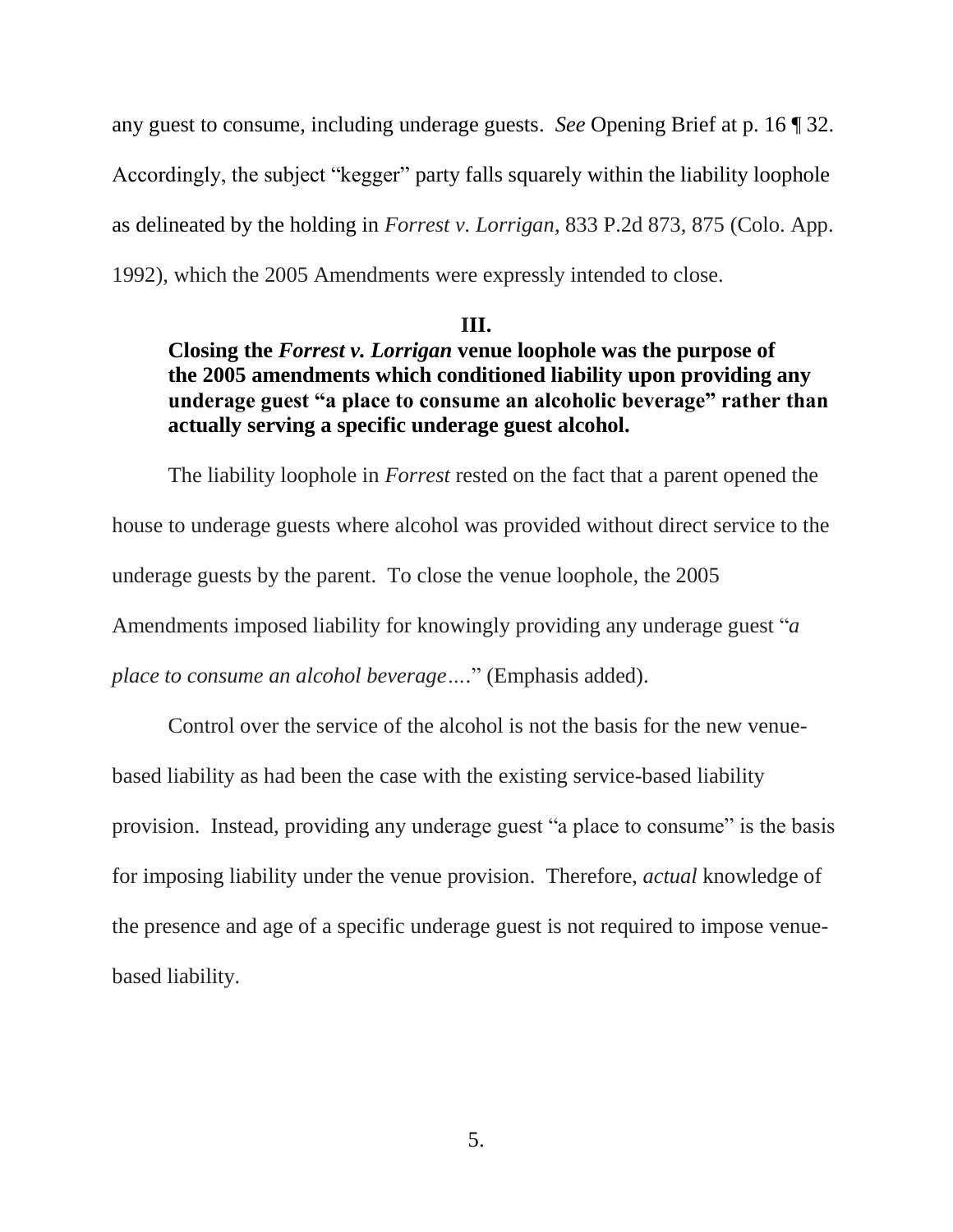any guest to consume, including underage guests. *See* Opening Brief at p. 16 ¶ 32. Accordingly, the subject "kegger" party falls squarely within the liability loophole as delineated by the holding in *Forrest v. Lorrigan*, 833 P.2d 873, 875 (Colo. App. 1992), which the 2005 Amendments were expressly intended to close.

#### **III.**

## **Closing the** *Forrest v. Lorrigan* **venue loophole was the purpose of the 2005 amendments which conditioned liability upon providing any underage guest "a place to consume an alcoholic beverage" rather than actually serving a specific underage guest alcohol.**

The liability loophole in *Forrest* rested on the fact that a parent opened the house to underage guests where alcohol was provided without direct service to the underage guests by the parent. To close the venue loophole, the 2005 Amendments imposed liability for knowingly providing any underage guest "*a place to consume an alcohol beverage….*" (Emphasis added).

Control over the service of the alcohol is not the basis for the new venuebased liability as had been the case with the existing service-based liability provision. Instead, providing any underage guest "a place to consume" is the basis for imposing liability under the venue provision. Therefore, *actual* knowledge of the presence and age of a specific underage guest is not required to impose venuebased liability.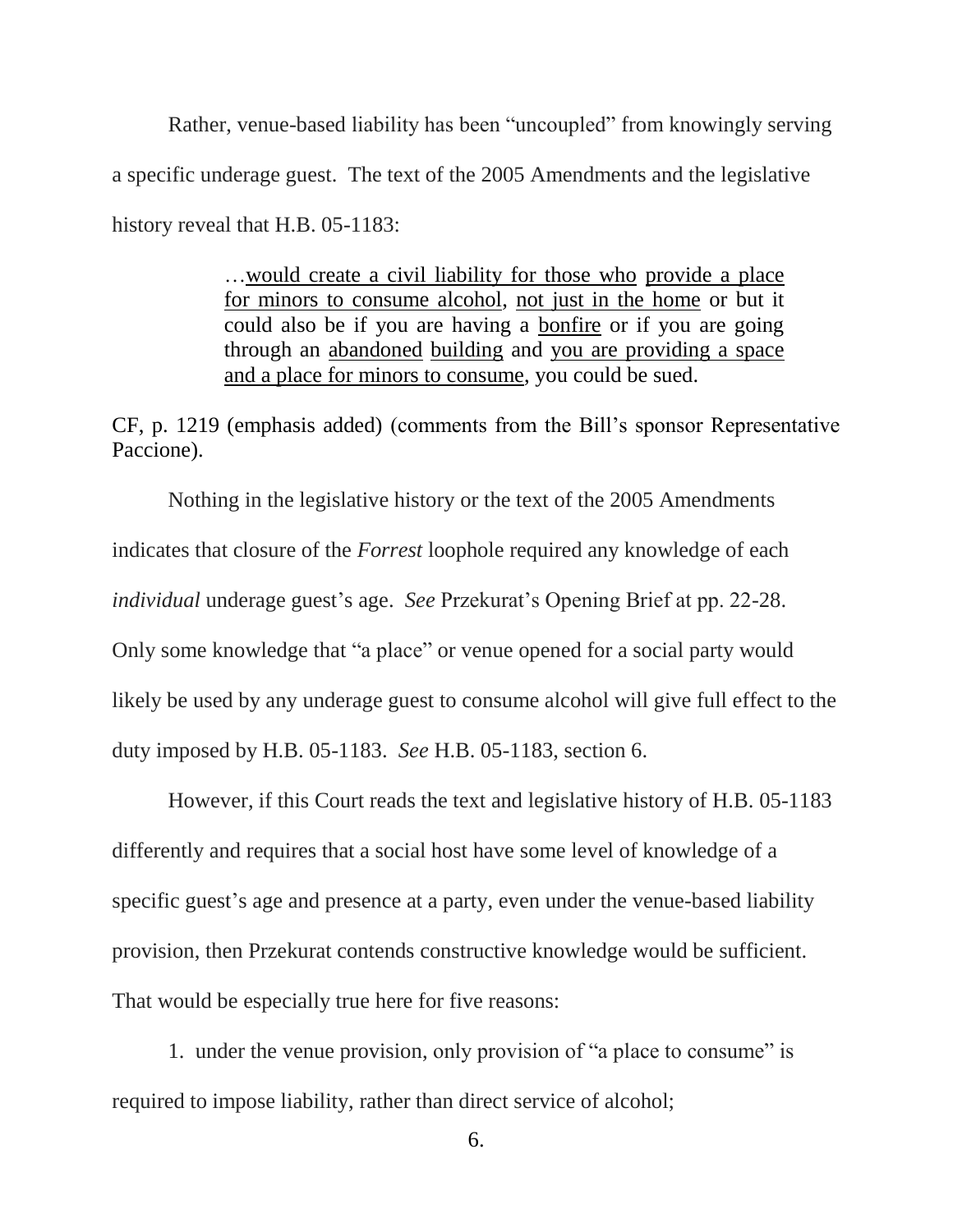Rather, venue-based liability has been "uncoupled" from knowingly serving a specific underage guest. The text of the 2005 Amendments and the legislative history reveal that H.B. 05-1183:

> …would create a civil liability for those who provide a place for minors to consume alcohol, not just in the home or but it could also be if you are having a bonfire or if you are going through an abandoned building and you are providing a space and a place for minors to consume, you could be sued.

CF, p. 1219 (emphasis added) (comments from the Bill's sponsor Representative Paccione).

Nothing in the legislative history or the text of the 2005 Amendments indicates that closure of the *Forrest* loophole required any knowledge of each *individual* underage guest's age. *See* Przekurat's Opening Brief at pp. 22-28. Only some knowledge that "a place" or venue opened for a social party would likely be used by any underage guest to consume alcohol will give full effect to the duty imposed by H.B. 05-1183. *See* H.B. 05-1183, section 6.

However, if this Court reads the text and legislative history of H.B. 05-1183 differently and requires that a social host have some level of knowledge of a specific guest's age and presence at a party, even under the venue-based liability provision, then Przekurat contends constructive knowledge would be sufficient. That would be especially true here for five reasons:

1. under the venue provision, only provision of "a place to consume" is required to impose liability, rather than direct service of alcohol;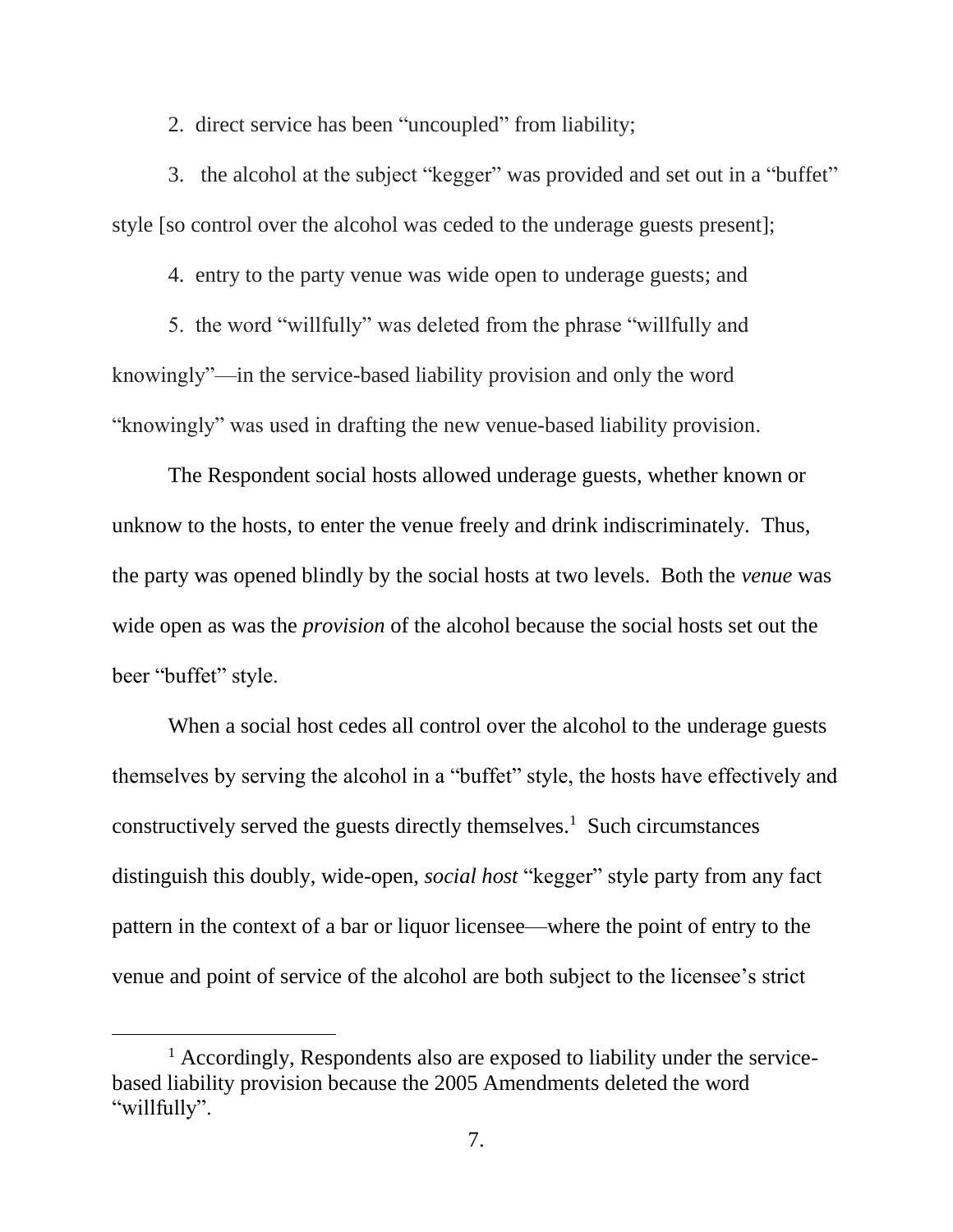2. direct service has been "uncoupled" from liability;

3. the alcohol at the subject "kegger" was provided and set out in a "buffet" style [so control over the alcohol was ceded to the underage guests present];

4. entry to the party venue was wide open to underage guests; and

5. the word "willfully" was deleted from the phrase "willfully and knowingly"—in the service-based liability provision and only the word "knowingly" was used in drafting the new venue-based liability provision.

The Respondent social hosts allowed underage guests, whether known or unknow to the hosts, to enter the venue freely and drink indiscriminately. Thus, the party was opened blindly by the social hosts at two levels. Both the *venue* was wide open as was the *provision* of the alcohol because the social hosts set out the beer "buffet" style.

When a social host cedes all control over the alcohol to the underage guests themselves by serving the alcohol in a "buffet" style, the hosts have effectively and constructively served the guests directly themselves.<sup>1</sup> Such circumstances distinguish this doubly, wide-open, *social host* "kegger" style party from any fact pattern in the context of a bar or liquor licensee—where the point of entry to the venue and point of service of the alcohol are both subject to the licensee's strict

 $<sup>1</sup>$  Accordingly, Respondents also are exposed to liability under the service-</sup> based liability provision because the 2005 Amendments deleted the word "willfully".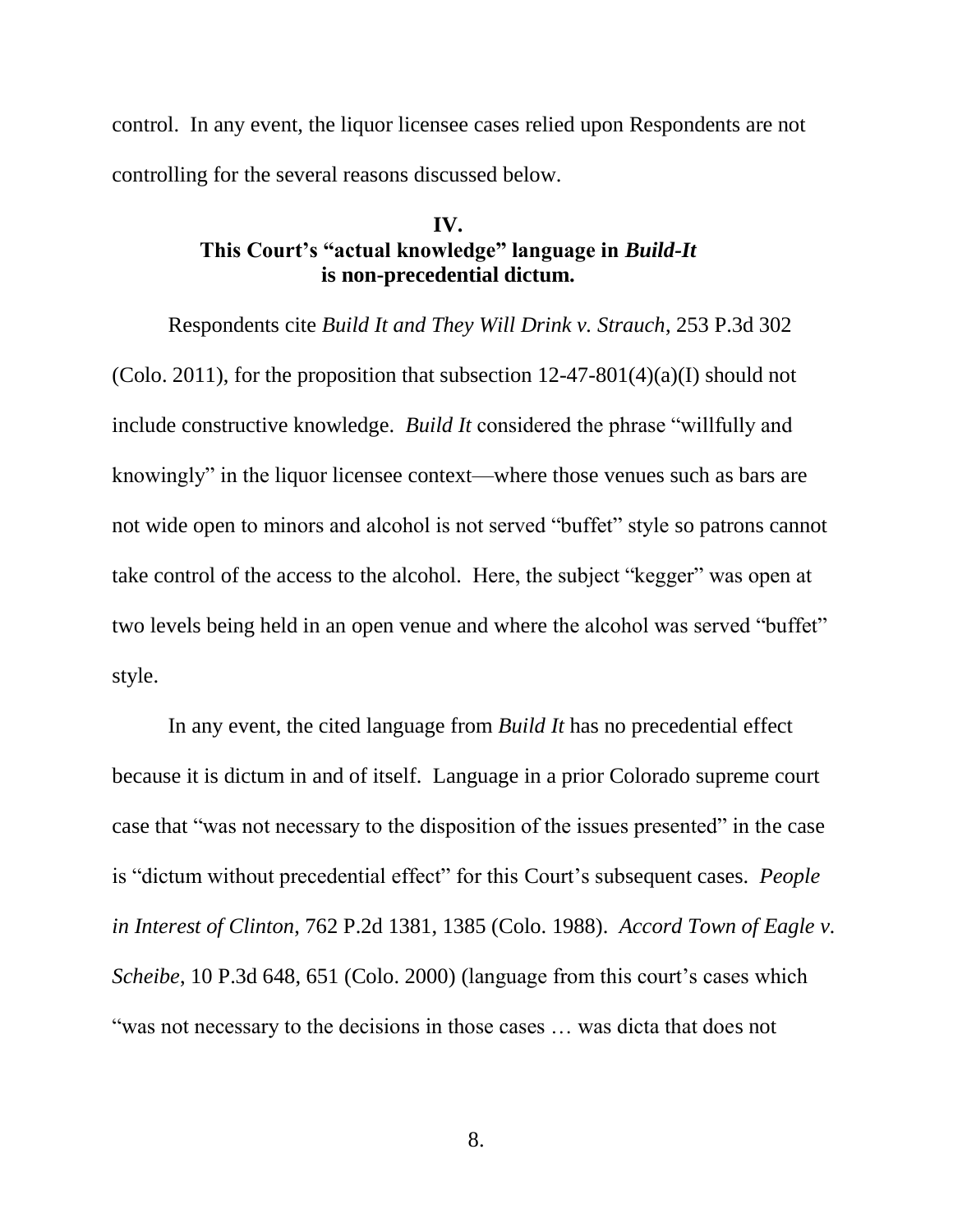control. In any event, the liquor licensee cases relied upon Respondents are not controlling for the several reasons discussed below.

### **IV. This Court's "actual knowledge" language in** *Build-It* **is non-precedential dictum.**

Respondents cite *Build It and They Will Drink v. Strauch*, 253 P.3d 302 (Colo. 2011), for the proposition that subsection  $12-47-801(4)(a)(I)$  should not include constructive knowledge. *Build It* considered the phrase "willfully and knowingly" in the liquor licensee context—where those venues such as bars are not wide open to minors and alcohol is not served "buffet" style so patrons cannot take control of the access to the alcohol. Here, the subject "kegger" was open at two levels being held in an open venue and where the alcohol was served "buffet" style.

In any event, the cited language from *Build It* has no precedential effect because it is dictum in and of itself. Language in a prior Colorado supreme court case that "was not necessary to the disposition of the issues presented" in the case is "dictum without precedential effect" for this Court's subsequent cases. *People in Interest of Clinton*, 762 P.2d 1381, 1385 (Colo. 1988). *Accord Town of Eagle v. Scheibe*, 10 P.3d 648, 651 (Colo. 2000) (language from this court's cases which "was not necessary to the decisions in those cases … was dicta that does not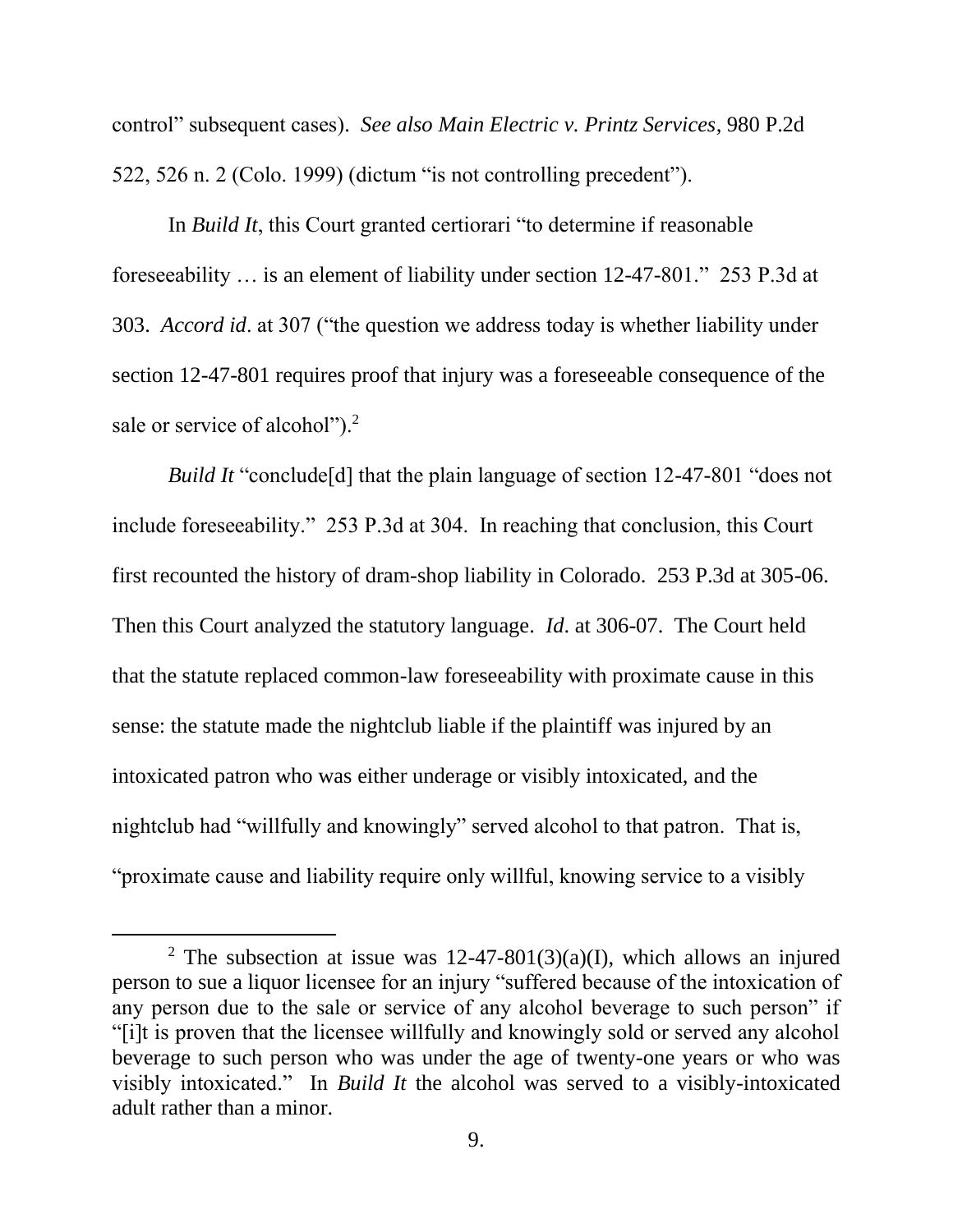control" subsequent cases). *See also Main Electric v. Printz Services*, 980 P.2d 522, 526 n. 2 (Colo. 1999) (dictum "is not controlling precedent").

In *Build It*, this Court granted certiorari "to determine if reasonable foreseeability … is an element of liability under section 12-47-801." 253 P.3d at 303. *Accord id*. at 307 ("the question we address today is whether liability under section 12-47-801 requires proof that injury was a foreseeable consequence of the sale or service of alcohol").<sup>2</sup>

*Build It* "conclude<sup>[d]</sup> that the plain language of section 12-47-801 "does not include foreseeability." 253 P.3d at 304. In reaching that conclusion, this Court first recounted the history of dram-shop liability in Colorado. 253 P.3d at 305-06. Then this Court analyzed the statutory language. *Id*. at 306-07. The Court held that the statute replaced common-law foreseeability with proximate cause in this sense: the statute made the nightclub liable if the plaintiff was injured by an intoxicated patron who was either underage or visibly intoxicated, and the nightclub had "willfully and knowingly" served alcohol to that patron. That is, "proximate cause and liability require only willful, knowing service to a visibly

l

<sup>&</sup>lt;sup>2</sup> The subsection at issue was  $12-47-801(3)(a)(I)$ , which allows an injured person to sue a liquor licensee for an injury "suffered because of the intoxication of any person due to the sale or service of any alcohol beverage to such person" if "[i]t is proven that the licensee willfully and knowingly sold or served any alcohol beverage to such person who was under the age of twenty-one years or who was visibly intoxicated." In *Build It* the alcohol was served to a visibly-intoxicated adult rather than a minor.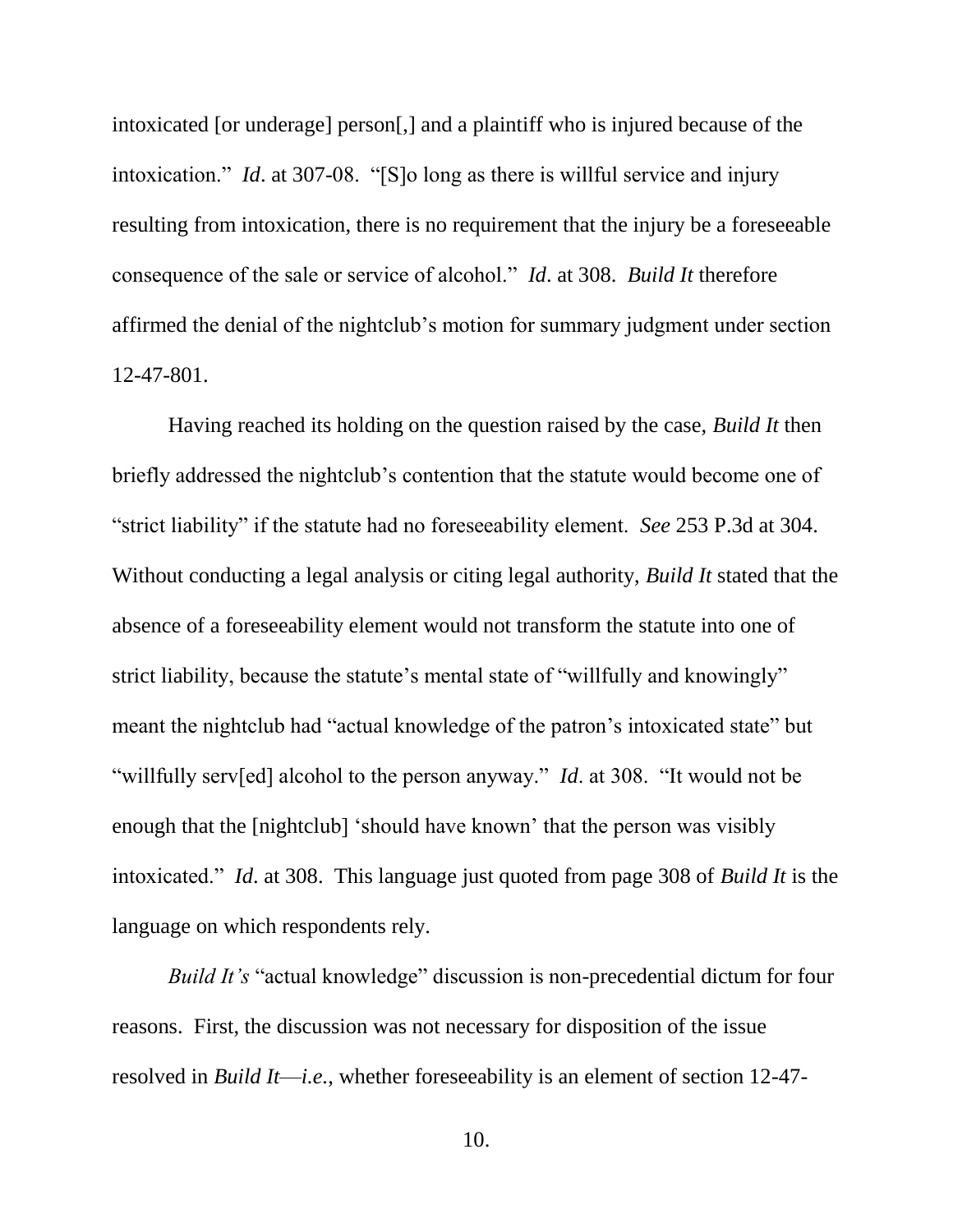intoxicated [or underage] person[,] and a plaintiff who is injured because of the intoxication." *Id*. at 307-08. "[S]o long as there is willful service and injury resulting from intoxication, there is no requirement that the injury be a foreseeable consequence of the sale or service of alcohol." *Id*. at 308. *Build It* therefore affirmed the denial of the nightclub's motion for summary judgment under section 12-47-801.

Having reached its holding on the question raised by the case, *Build It* then briefly addressed the nightclub's contention that the statute would become one of "strict liability" if the statute had no foreseeability element. *See* 253 P.3d at 304. Without conducting a legal analysis or citing legal authority, *Build It* stated that the absence of a foreseeability element would not transform the statute into one of strict liability, because the statute's mental state of "willfully and knowingly" meant the nightclub had "actual knowledge of the patron's intoxicated state" but "willfully serv[ed] alcohol to the person anyway." *Id*. at 308. "It would not be enough that the [nightclub] 'should have known' that the person was visibly intoxicated." *Id*. at 308. This language just quoted from page 308 of *Build It* is the language on which respondents rely.

*Build It's* "actual knowledge" discussion is non-precedential dictum for four reasons. First, the discussion was not necessary for disposition of the issue resolved in *Build It*—*i.e.*, whether foreseeability is an element of section 12-47-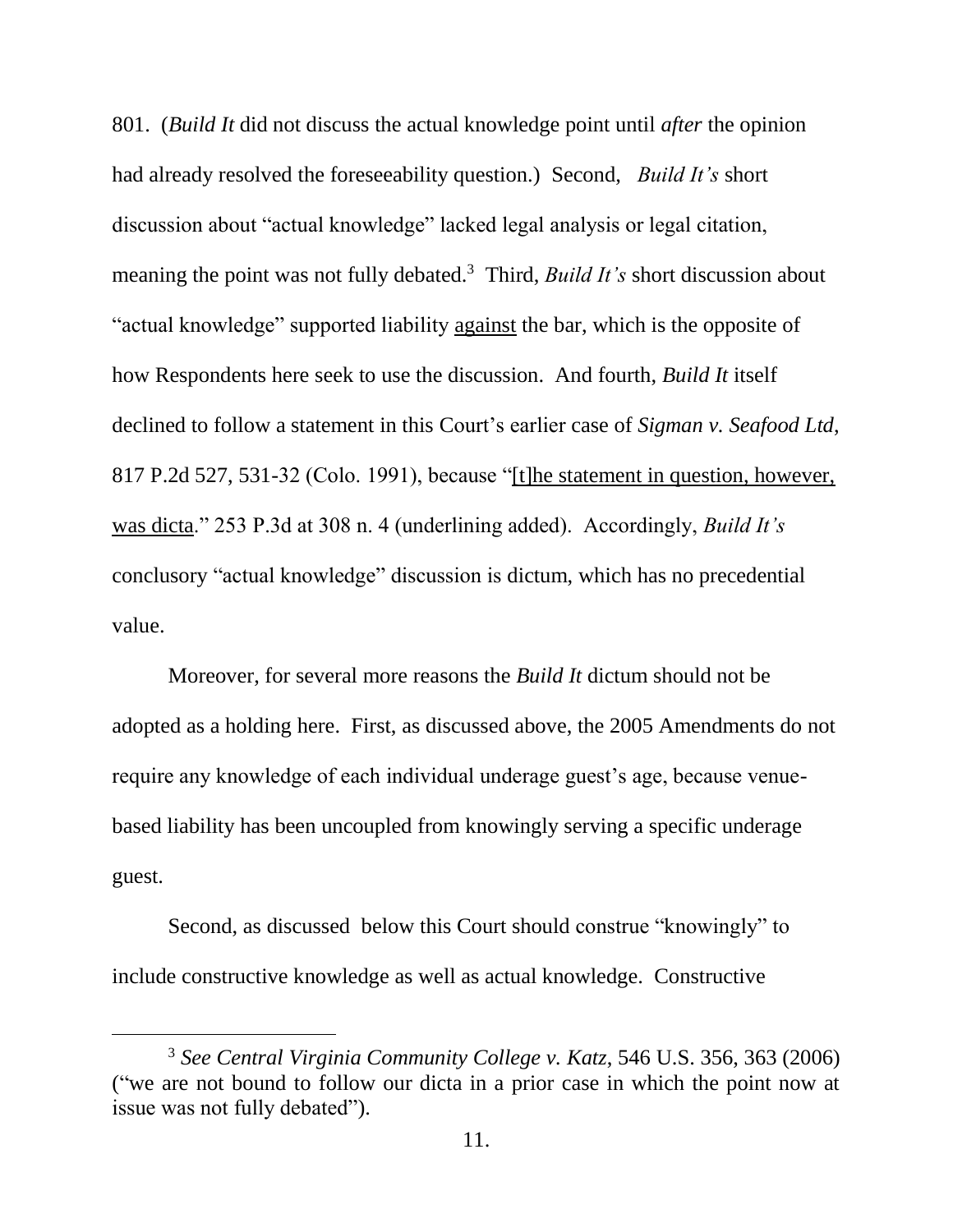801. (*Build It* did not discuss the actual knowledge point until *after* the opinion had already resolved the foreseeability question.) Second, *Build It's* short discussion about "actual knowledge" lacked legal analysis or legal citation, meaning the point was not fully debated.<sup>3</sup> Third, *Build It's* short discussion about "actual knowledge" supported liability against the bar, which is the opposite of how Respondents here seek to use the discussion. And fourth, *Build It* itself declined to follow a statement in this Court's earlier case of *Sigman v. Seafood Ltd*, 817 P.2d 527, 531-32 (Colo. 1991), because "[t]he statement in question, however, was dicta." 253 P.3d at 308 n. 4 (underlining added). Accordingly, *Build It's* conclusory "actual knowledge" discussion is dictum, which has no precedential value.

Moreover, for several more reasons the *Build It* dictum should not be adopted as a holding here. First, as discussed above, the 2005 Amendments do not require any knowledge of each individual underage guest's age, because venuebased liability has been uncoupled from knowingly serving a specific underage guest.

Second, as discussed below this Court should construe "knowingly" to include constructive knowledge as well as actual knowledge. Constructive

<sup>3</sup> *See Central Virginia Community College v. Katz*, 546 U.S. 356, 363 (2006) ("we are not bound to follow our dicta in a prior case in which the point now at issue was not fully debated").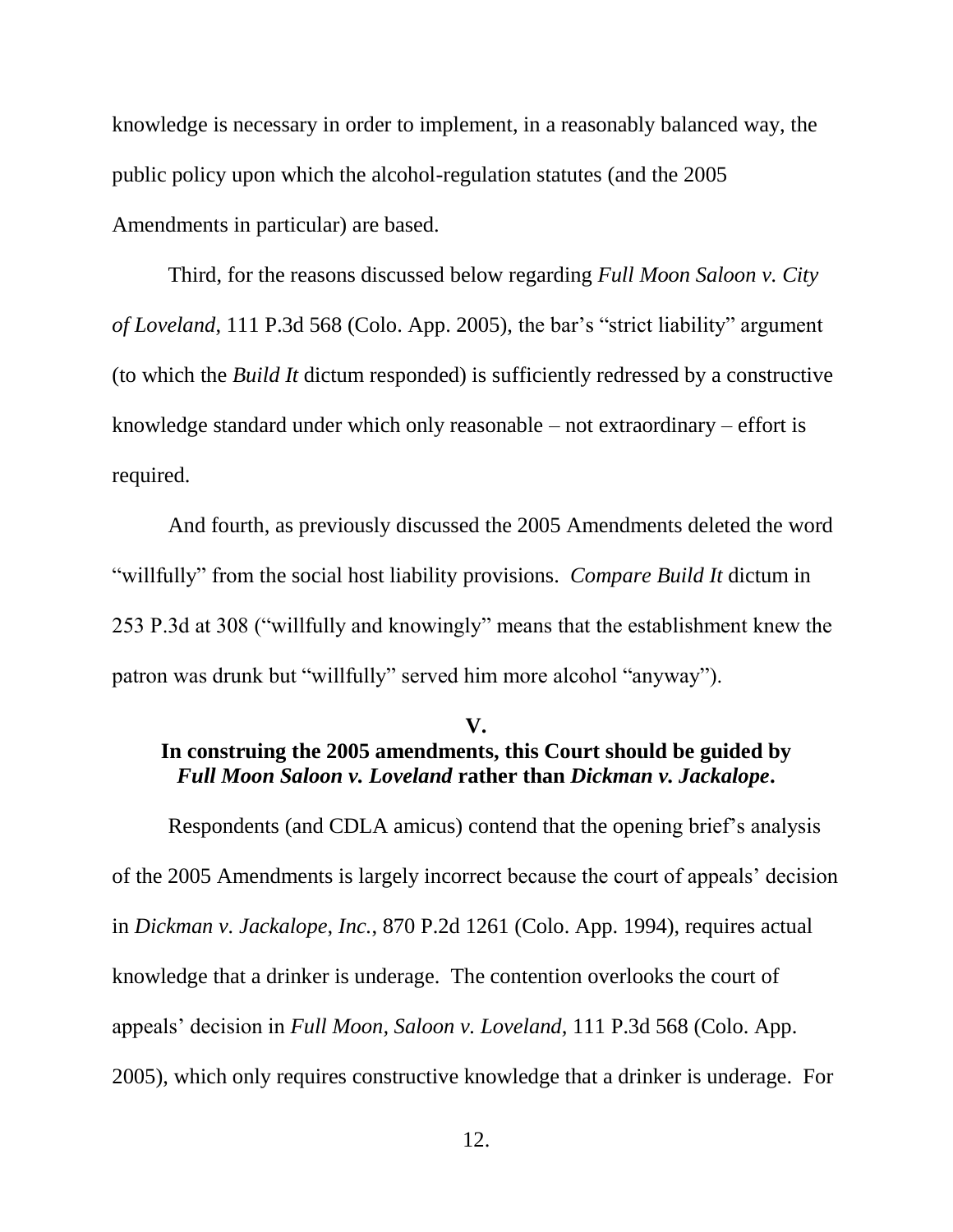knowledge is necessary in order to implement, in a reasonably balanced way, the public policy upon which the alcohol-regulation statutes (and the 2005 Amendments in particular) are based.

Third, for the reasons discussed below regarding *Full Moon Saloon v. City of Loveland*, 111 P.3d 568 (Colo. App. 2005), the bar's "strict liability" argument (to which the *Build It* dictum responded) is sufficiently redressed by a constructive knowledge standard under which only reasonable – not extraordinary – effort is required.

And fourth, as previously discussed the 2005 Amendments deleted the word "willfully" from the social host liability provisions. *Compare Build It* dictum in 253 P.3d at 308 ("willfully and knowingly" means that the establishment knew the patron was drunk but "willfully" served him more alcohol "anyway").

#### **V. In construing the 2005 amendments, this Court should be guided by**  *Full Moon Saloon v. Loveland* **rather than** *Dickman v. Jackalope***.**

Respondents (and CDLA amicus) contend that the opening brief's analysis of the 2005 Amendments is largely incorrect because the court of appeals' decision in *Dickman v. Jackalope*, *Inc.*, 870 P.2d 1261 (Colo. App. 1994), requires actual knowledge that a drinker is underage. The contention overlooks the court of appeals' decision in *Full Moon, Saloon v. Loveland,* 111 P.3d 568 (Colo. App. 2005), which only requires constructive knowledge that a drinker is underage. For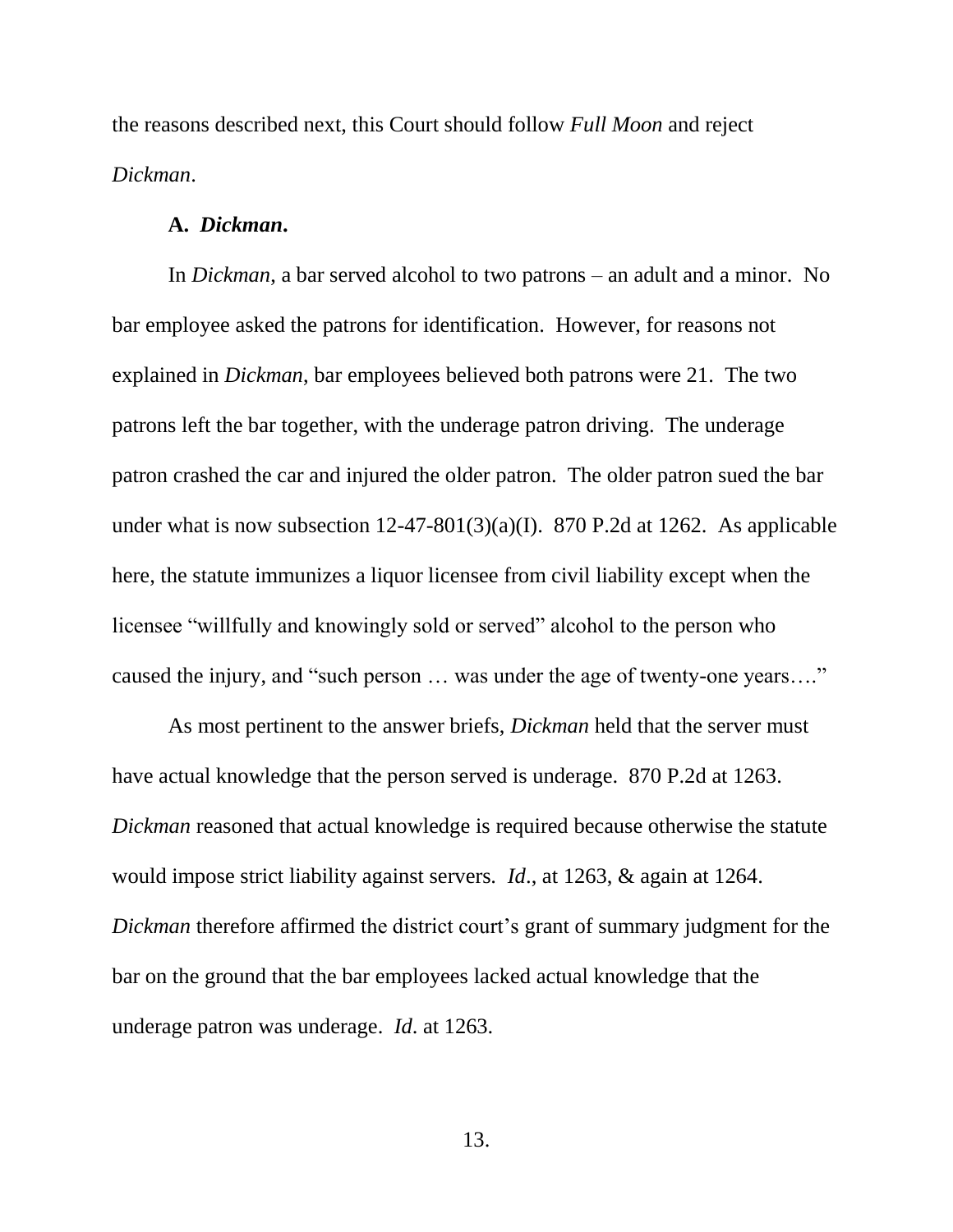the reasons described next, this Court should follow *Full Moon* and reject *Dickman*.

#### **A.** *Dickman***.**

In *Dickman*, a bar served alcohol to two patrons – an adult and a minor. No bar employee asked the patrons for identification. However, for reasons not explained in *Dickman*, bar employees believed both patrons were 21. The two patrons left the bar together, with the underage patron driving. The underage patron crashed the car and injured the older patron. The older patron sued the bar under what is now subsection  $12-47-801(3)(a)(I)$ . 870 P.2d at 1262. As applicable here, the statute immunizes a liquor licensee from civil liability except when the licensee "willfully and knowingly sold or served" alcohol to the person who caused the injury, and "such person … was under the age of twenty-one years…."

As most pertinent to the answer briefs, *Dickman* held that the server must have actual knowledge that the person served is underage. 870 P.2d at 1263. *Dickman* reasoned that actual knowledge is required because otherwise the statute would impose strict liability against servers. *Id*., at 1263, & again at 1264. *Dickman* therefore affirmed the district court's grant of summary judgment for the bar on the ground that the bar employees lacked actual knowledge that the underage patron was underage. *Id*. at 1263.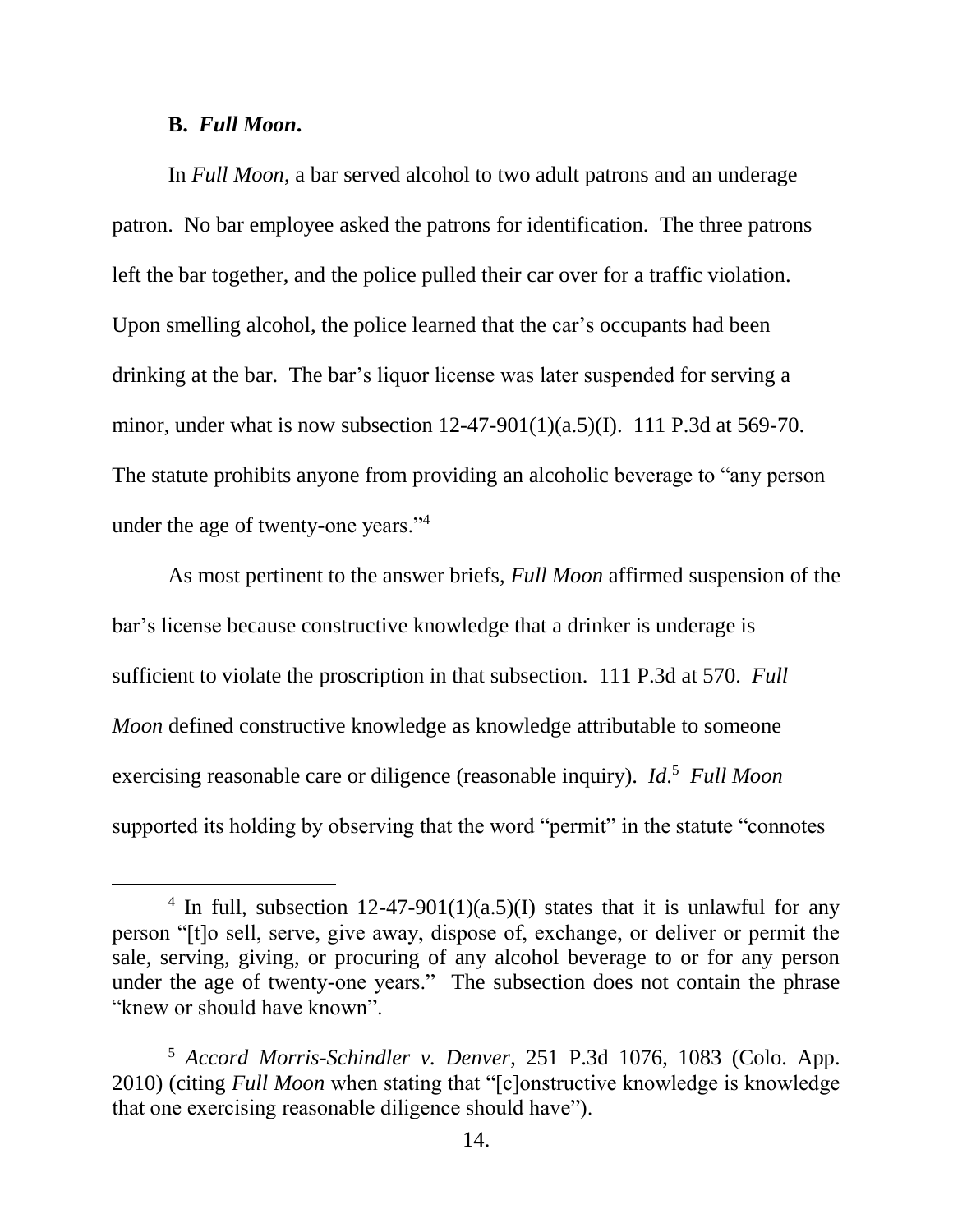#### **B.** *Full Moon***.**

 $\overline{a}$ 

In *Full Moon*, a bar served alcohol to two adult patrons and an underage patron. No bar employee asked the patrons for identification. The three patrons left the bar together, and the police pulled their car over for a traffic violation. Upon smelling alcohol, the police learned that the car's occupants had been drinking at the bar. The bar's liquor license was later suspended for serving a minor, under what is now subsection 12-47-901(1)(a.5)(I). 111 P.3d at 569-70. The statute prohibits anyone from providing an alcoholic beverage to "any person under the age of twenty-one years."<sup>4</sup>

As most pertinent to the answer briefs, *Full Moon* affirmed suspension of the bar's license because constructive knowledge that a drinker is underage is sufficient to violate the proscription in that subsection. 111 P.3d at 570. *Full Moon* defined constructive knowledge as knowledge attributable to someone exercising reasonable care or diligence (reasonable inquiry). *Id*. 5 *Full Moon* supported its holding by observing that the word "permit" in the statute "connotes"

<sup>&</sup>lt;sup>4</sup> In full, subsection 12-47-901(1)(a.5)(I) states that it is unlawful for any person "[t]o sell, serve, give away, dispose of, exchange, or deliver or permit the sale, serving, giving, or procuring of any alcohol beverage to or for any person under the age of twenty-one years." The subsection does not contain the phrase "knew or should have known".

<sup>5</sup> *Accord Morris-Schindler v. Denver*, 251 P.3d 1076, 1083 (Colo. App. 2010) (citing *Full Moon* when stating that "[c]onstructive knowledge is knowledge that one exercising reasonable diligence should have").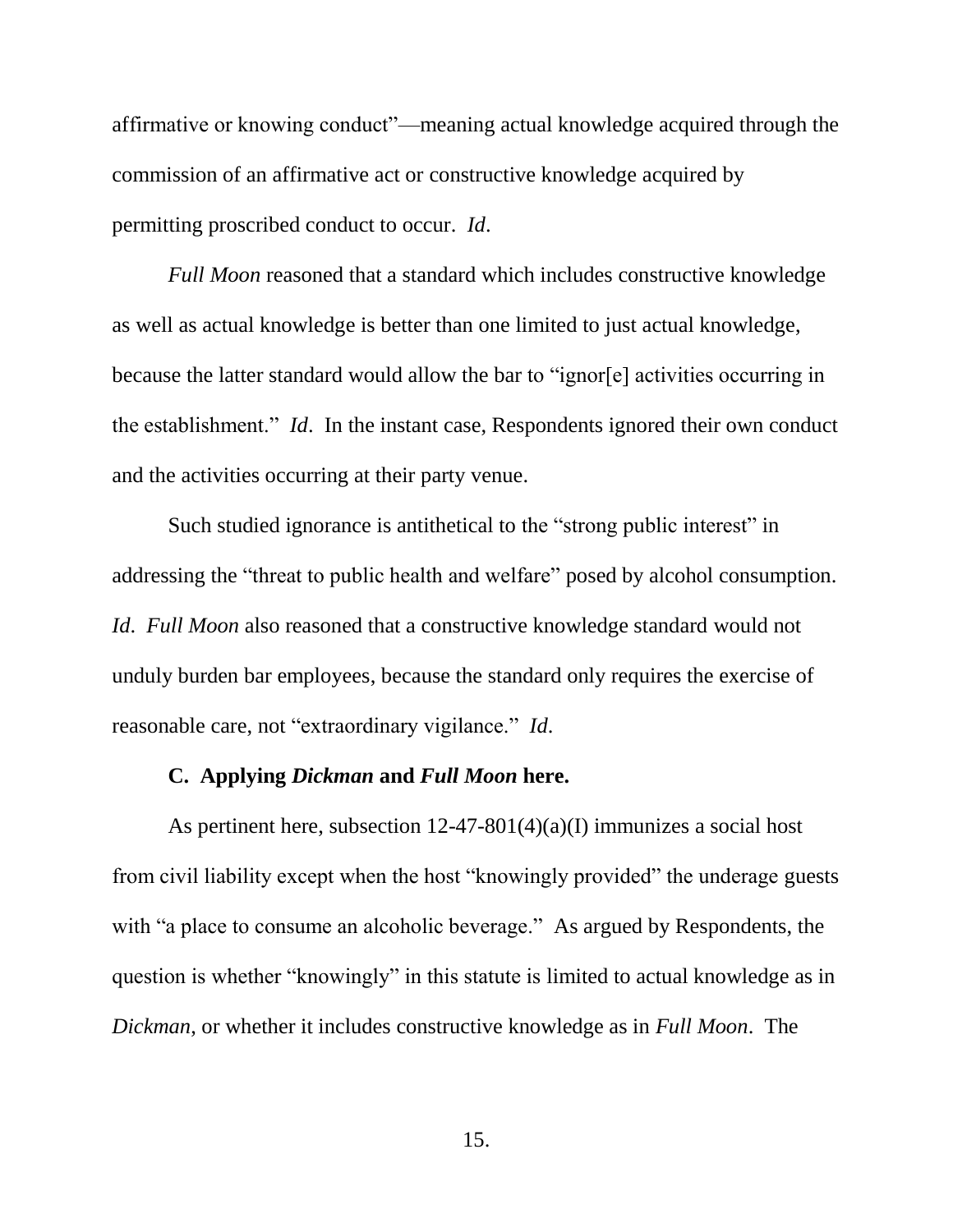affirmative or knowing conduct"—meaning actual knowledge acquired through the commission of an affirmative act or constructive knowledge acquired by permitting proscribed conduct to occur. *Id*.

*Full Moon* reasoned that a standard which includes constructive knowledge as well as actual knowledge is better than one limited to just actual knowledge, because the latter standard would allow the bar to "ignor[e] activities occurring in the establishment." *Id*. In the instant case, Respondents ignored their own conduct and the activities occurring at their party venue.

Such studied ignorance is antithetical to the "strong public interest" in addressing the "threat to public health and welfare" posed by alcohol consumption. *Id*. *Full Moon* also reasoned that a constructive knowledge standard would not unduly burden bar employees, because the standard only requires the exercise of reasonable care, not "extraordinary vigilance." *Id*.

#### **C. Applying** *Dickman* **and** *Full Moon* **here.**

As pertinent here, subsection 12-47-801(4)(a)(I) immunizes a social host from civil liability except when the host "knowingly provided" the underage guests with "a place to consume an alcoholic beverage." As argued by Respondents, the question is whether "knowingly" in this statute is limited to actual knowledge as in *Dickman*, or whether it includes constructive knowledge as in *Full Moon*. The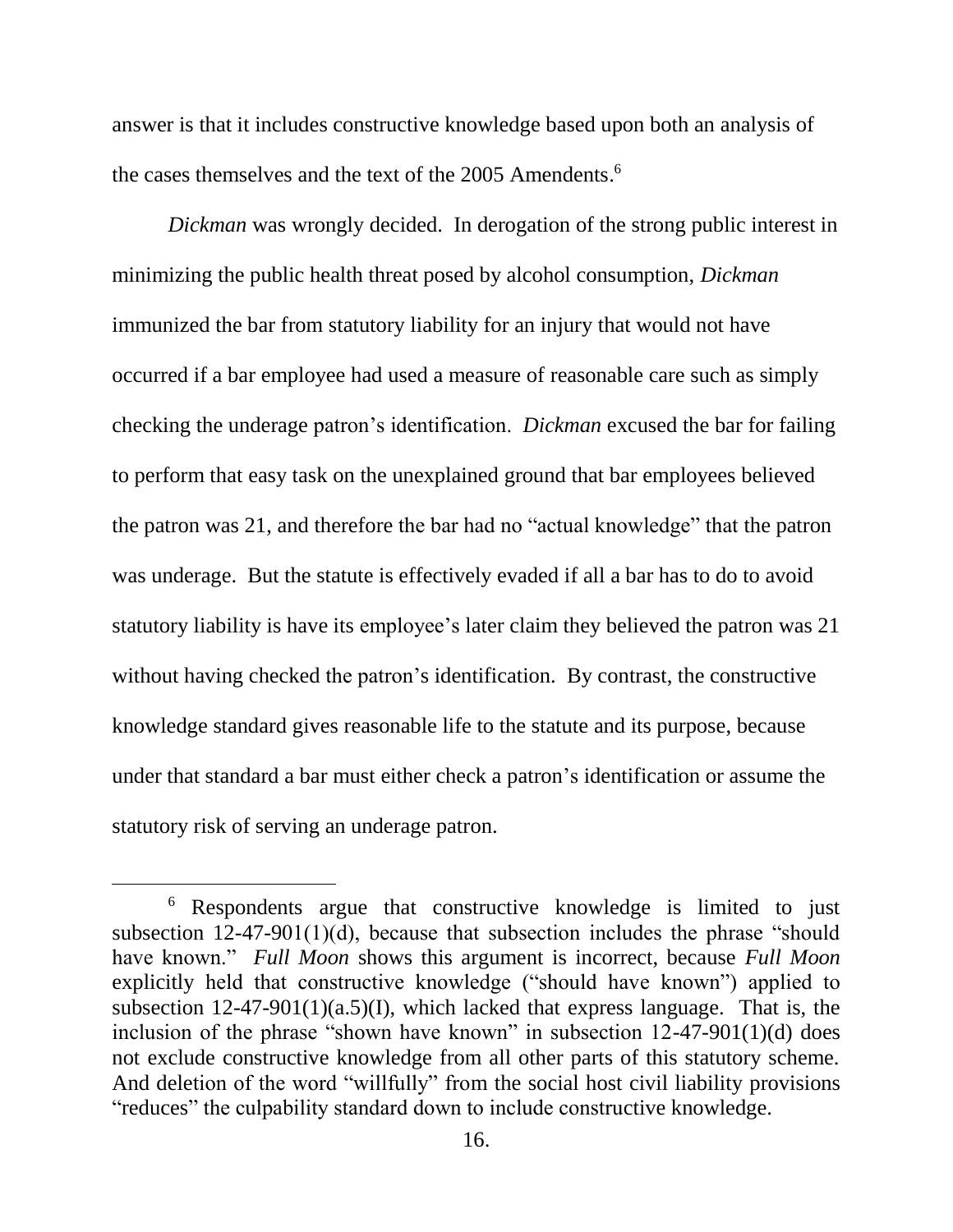answer is that it includes constructive knowledge based upon both an analysis of the cases themselves and the text of the 2005 Amendents. 6

*Dickman* was wrongly decided. In derogation of the strong public interest in minimizing the public health threat posed by alcohol consumption, *Dickman* immunized the bar from statutory liability for an injury that would not have occurred if a bar employee had used a measure of reasonable care such as simply checking the underage patron's identification. *Dickman* excused the bar for failing to perform that easy task on the unexplained ground that bar employees believed the patron was 21, and therefore the bar had no "actual knowledge" that the patron was underage. But the statute is effectively evaded if all a bar has to do to avoid statutory liability is have its employee's later claim they believed the patron was 21 without having checked the patron's identification. By contrast, the constructive knowledge standard gives reasonable life to the statute and its purpose, because under that standard a bar must either check a patron's identification or assume the statutory risk of serving an underage patron.

<sup>6</sup> Respondents argue that constructive knowledge is limited to just subsection 12-47-901(1)(d), because that subsection includes the phrase "should have known." *Full Moon* shows this argument is incorrect, because *Full Moon* explicitly held that constructive knowledge ("should have known") applied to subsection  $12-47-901(1)(a.5)(I)$ , which lacked that express language. That is, the inclusion of the phrase "shown have known" in subsection 12-47-901(1)(d) does not exclude constructive knowledge from all other parts of this statutory scheme. And deletion of the word "willfully" from the social host civil liability provisions "reduces" the culpability standard down to include constructive knowledge.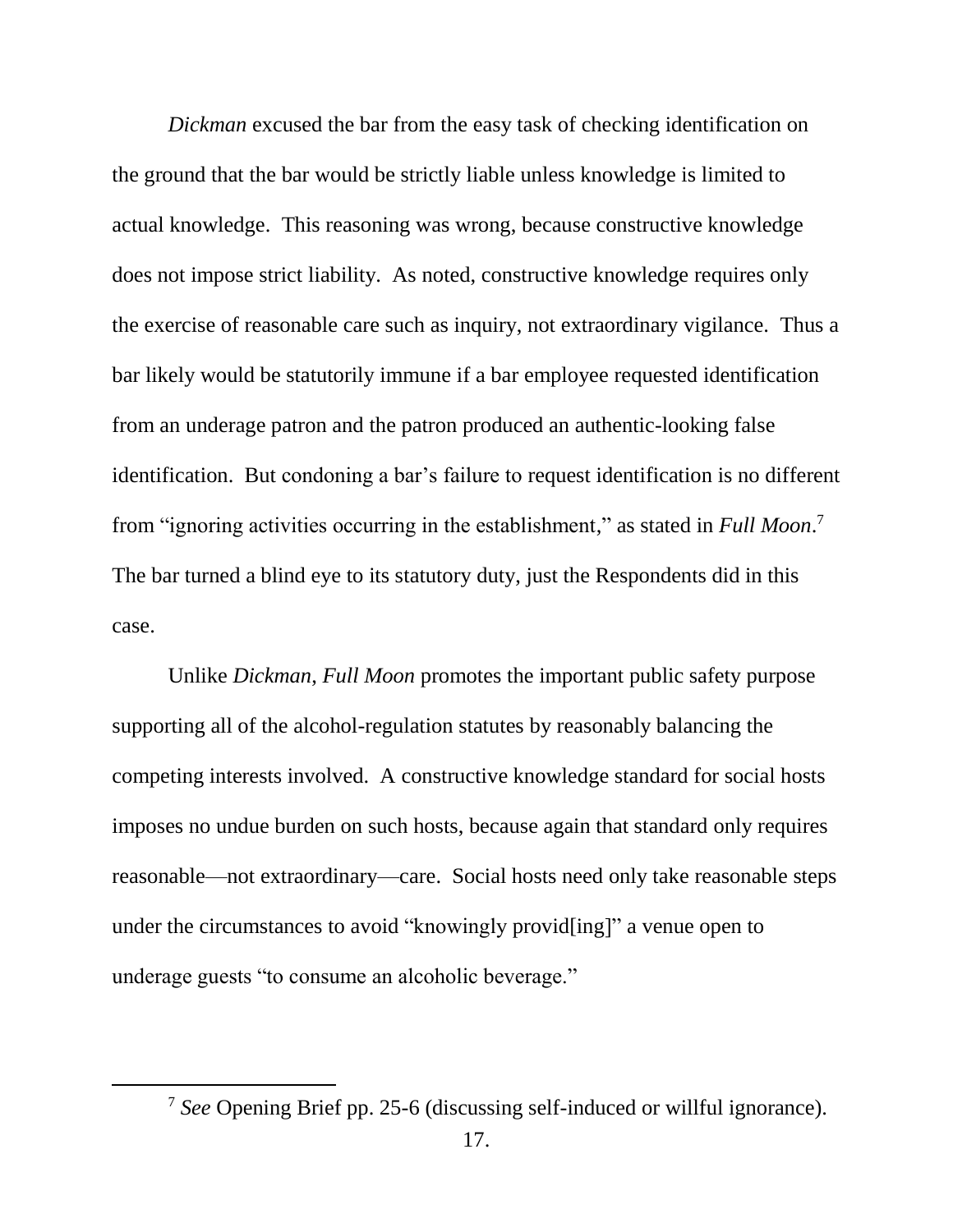*Dickman* excused the bar from the easy task of checking identification on the ground that the bar would be strictly liable unless knowledge is limited to actual knowledge. This reasoning was wrong, because constructive knowledge does not impose strict liability. As noted, constructive knowledge requires only the exercise of reasonable care such as inquiry, not extraordinary vigilance. Thus a bar likely would be statutorily immune if a bar employee requested identification from an underage patron and the patron produced an authentic-looking false identification. But condoning a bar's failure to request identification is no different from "ignoring activities occurring in the establishment," as stated in *Full Moon*. 7 The bar turned a blind eye to its statutory duty, just the Respondents did in this case.

Unlike *Dickman*, *Full Moon* promotes the important public safety purpose supporting all of the alcohol-regulation statutes by reasonably balancing the competing interests involved. A constructive knowledge standard for social hosts imposes no undue burden on such hosts, because again that standard only requires reasonable—not extraordinary—care. Social hosts need only take reasonable steps under the circumstances to avoid "knowingly provid[ing]" a venue open to underage guests "to consume an alcoholic beverage."

<sup>7</sup> *See* Opening Brief pp. 25-6 (discussing self-induced or willful ignorance).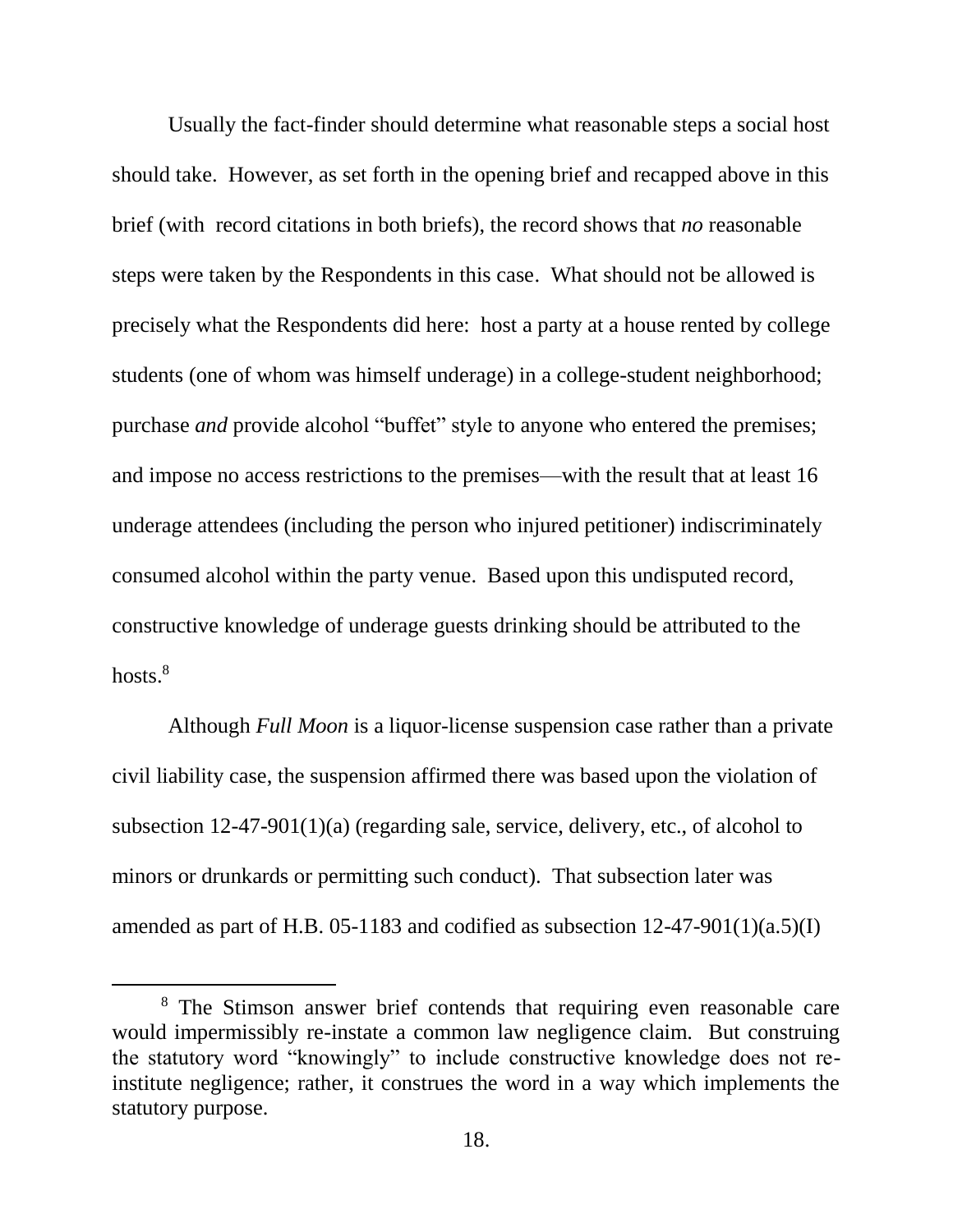Usually the fact-finder should determine what reasonable steps a social host should take. However, as set forth in the opening brief and recapped above in this brief (with record citations in both briefs), the record shows that *no* reasonable steps were taken by the Respondents in this case. What should not be allowed is precisely what the Respondents did here: host a party at a house rented by college students (one of whom was himself underage) in a college-student neighborhood; purchase *and* provide alcohol "buffet" style to anyone who entered the premises; and impose no access restrictions to the premises—with the result that at least 16 underage attendees (including the person who injured petitioner) indiscriminately consumed alcohol within the party venue. Based upon this undisputed record, constructive knowledge of underage guests drinking should be attributed to the hosts.<sup>8</sup>

Although *Full Moon* is a liquor-license suspension case rather than a private civil liability case, the suspension affirmed there was based upon the violation of subsection 12-47-901(1)(a) (regarding sale, service, delivery, etc., of alcohol to minors or drunkards or permitting such conduct). That subsection later was amended as part of H.B. 05-1183 and codified as subsection  $12-47-901(1)(a.5)(I)$ 

<sup>&</sup>lt;sup>8</sup> The Stimson answer brief contends that requiring even reasonable care would impermissibly re-instate a common law negligence claim. But construing the statutory word "knowingly" to include constructive knowledge does not reinstitute negligence; rather, it construes the word in a way which implements the statutory purpose.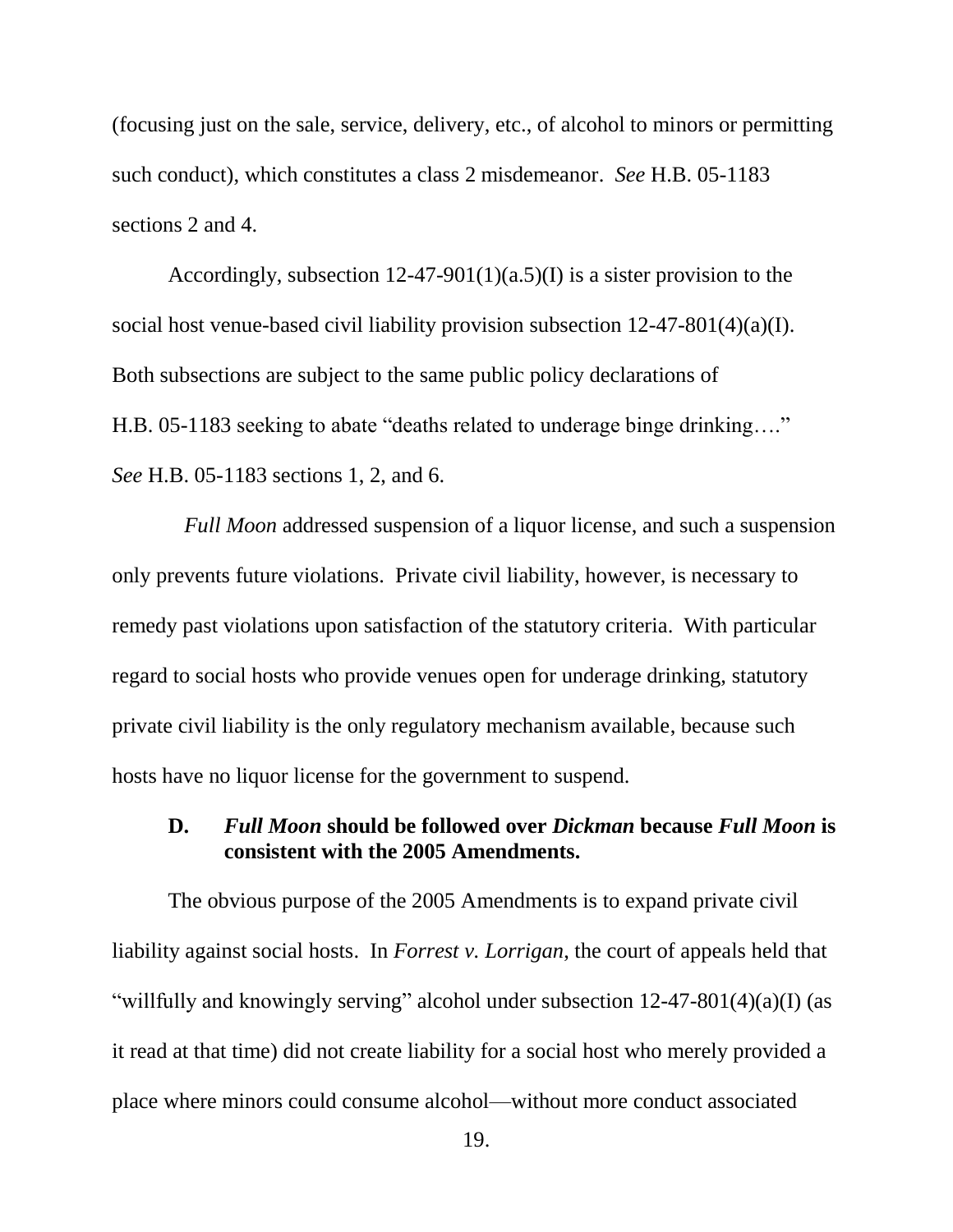(focusing just on the sale, service, delivery, etc., of alcohol to minors or permitting such conduct), which constitutes a class 2 misdemeanor. *See* H.B. 05-1183 sections 2 and 4.

Accordingly, subsection  $12-47-901(1)(a.5)(I)$  is a sister provision to the social host venue-based civil liability provision subsection  $12-47-801(4)(a)(I)$ . Both subsections are subject to the same public policy declarations of H.B. 05-1183 seeking to abate "deaths related to underage binge drinking…." *See* H.B. 05-1183 sections 1, 2, and 6.

*Full Moon* addressed suspension of a liquor license, and such a suspension only prevents future violations. Private civil liability, however, is necessary to remedy past violations upon satisfaction of the statutory criteria. With particular regard to social hosts who provide venues open for underage drinking, statutory private civil liability is the only regulatory mechanism available, because such hosts have no liquor license for the government to suspend.

### **D.** *Full Moon* **should be followed over** *Dickman* **because** *Full Moon* **is consistent with the 2005 Amendments.**

The obvious purpose of the 2005 Amendments is to expand private civil liability against social hosts. In *Forrest v. Lorrigan*, the court of appeals held that "willfully and knowingly serving" alcohol under subsection 12-47-801(4)(a)(I) (as it read at that time) did not create liability for a social host who merely provided a place where minors could consume alcohol—without more conduct associated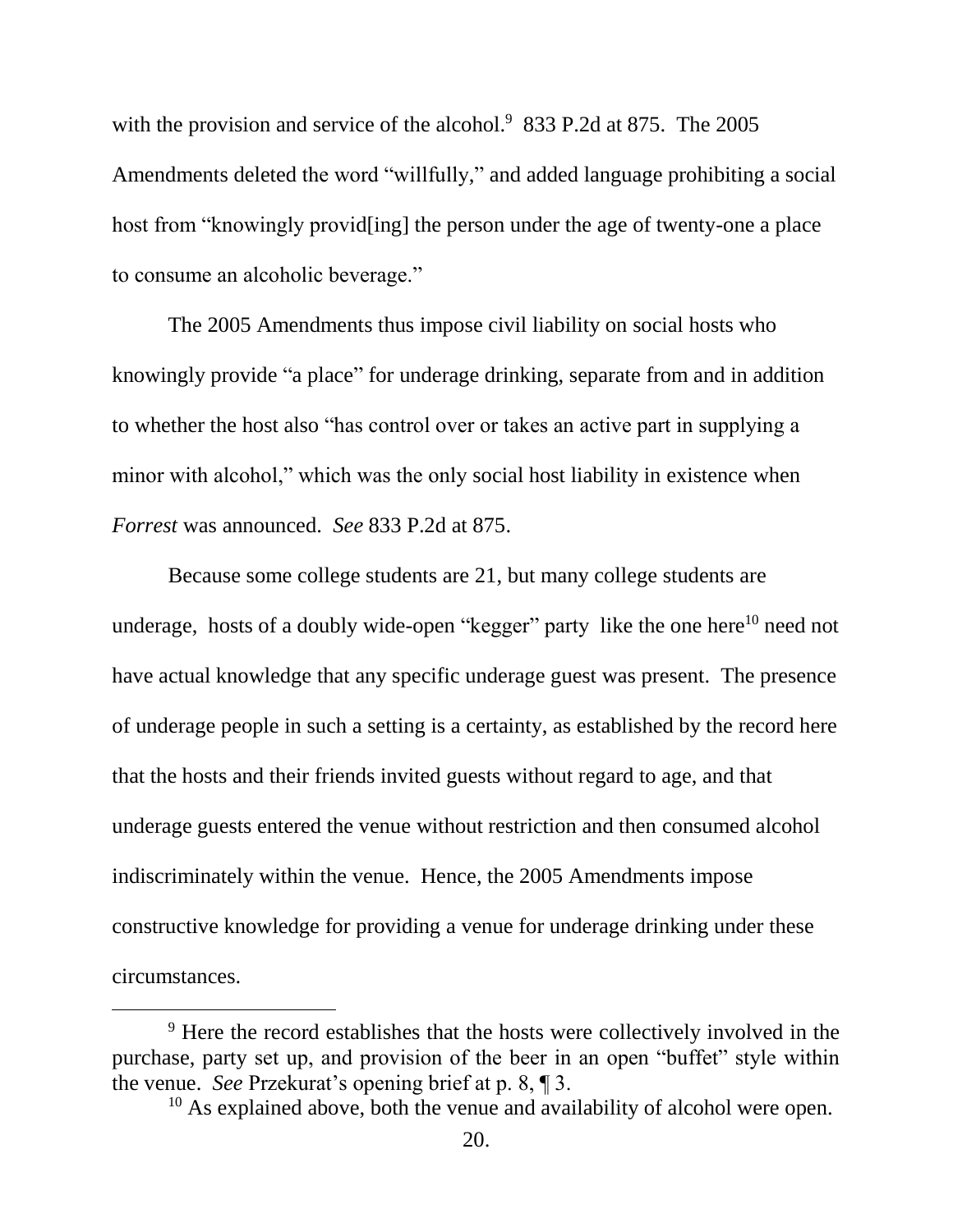with the provision and service of the alcohol.<sup>9</sup> 833 P.2d at 875. The 2005 Amendments deleted the word "willfully," and added language prohibiting a social host from "knowingly provid[ing] the person under the age of twenty-one a place to consume an alcoholic beverage."

The 2005 Amendments thus impose civil liability on social hosts who knowingly provide "a place" for underage drinking, separate from and in addition to whether the host also "has control over or takes an active part in supplying a minor with alcohol," which was the only social host liability in existence when *Forrest* was announced. *See* 833 P.2d at 875.

Because some college students are 21, but many college students are underage, hosts of a doubly wide-open "kegger" party like the one here<sup>10</sup> need not have actual knowledge that any specific underage guest was present. The presence of underage people in such a setting is a certainty, as established by the record here that the hosts and their friends invited guests without regard to age, and that underage guests entered the venue without restriction and then consumed alcohol indiscriminately within the venue. Hence, the 2005 Amendments impose constructive knowledge for providing a venue for underage drinking under these circumstances.

<sup>&</sup>lt;sup>9</sup> Here the record establishes that the hosts were collectively involved in the purchase, party set up, and provision of the beer in an open "buffet" style within the venue. *See* Przekurat's opening brief at p. 8, ¶ 3.

<sup>&</sup>lt;sup>10</sup> As explained above, both the venue and availability of alcohol were open.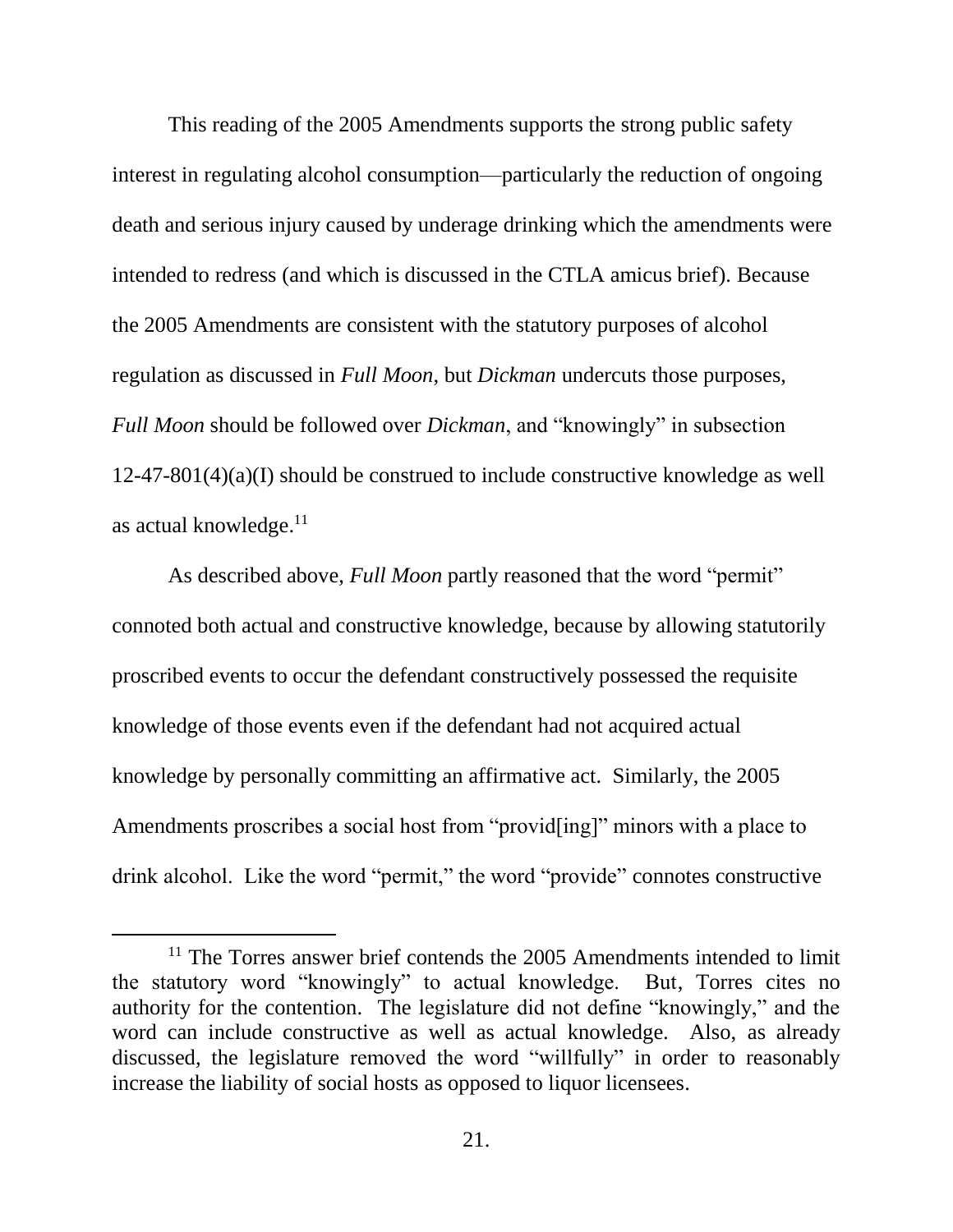This reading of the 2005 Amendments supports the strong public safety interest in regulating alcohol consumption—particularly the reduction of ongoing death and serious injury caused by underage drinking which the amendments were intended to redress (and which is discussed in the CTLA amicus brief). Because the 2005 Amendments are consistent with the statutory purposes of alcohol regulation as discussed in *Full Moon*, but *Dickman* undercuts those purposes, *Full Moon* should be followed over *Dickman*, and "knowingly" in subsection 12-47-801(4)(a)(I) should be construed to include constructive knowledge as well as actual knowledge.<sup>11</sup>

As described above, *Full Moon* partly reasoned that the word "permit" connoted both actual and constructive knowledge, because by allowing statutorily proscribed events to occur the defendant constructively possessed the requisite knowledge of those events even if the defendant had not acquired actual knowledge by personally committing an affirmative act. Similarly, the 2005 Amendments proscribes a social host from "provid[ing]" minors with a place to drink alcohol. Like the word "permit," the word "provide" connotes constructive

l

 $11$  The Torres answer brief contends the 2005 Amendments intended to limit the statutory word "knowingly" to actual knowledge. But, Torres cites no authority for the contention. The legislature did not define "knowingly," and the word can include constructive as well as actual knowledge. Also, as already discussed, the legislature removed the word "willfully" in order to reasonably increase the liability of social hosts as opposed to liquor licensees.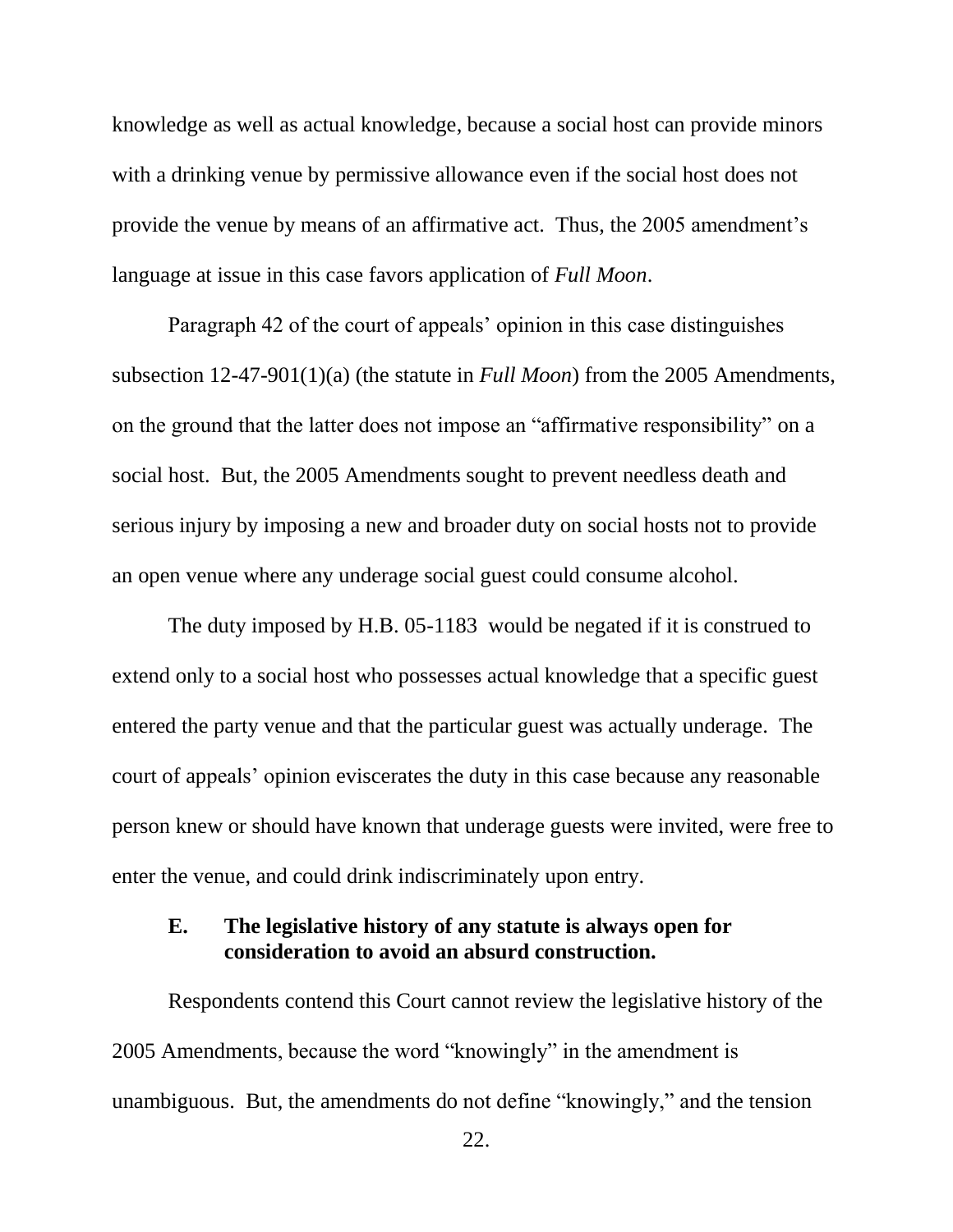knowledge as well as actual knowledge, because a social host can provide minors with a drinking venue by permissive allowance even if the social host does not provide the venue by means of an affirmative act. Thus, the 2005 amendment's language at issue in this case favors application of *Full Moon*.

Paragraph 42 of the court of appeals' opinion in this case distinguishes subsection 12-47-901(1)(a) (the statute in *Full Moon*) from the 2005 Amendments, on the ground that the latter does not impose an "affirmative responsibility" on a social host. But, the 2005 Amendments sought to prevent needless death and serious injury by imposing a new and broader duty on social hosts not to provide an open venue where any underage social guest could consume alcohol.

The duty imposed by H.B. 05-1183 would be negated if it is construed to extend only to a social host who possesses actual knowledge that a specific guest entered the party venue and that the particular guest was actually underage. The court of appeals' opinion eviscerates the duty in this case because any reasonable person knew or should have known that underage guests were invited, were free to enter the venue, and could drink indiscriminately upon entry.

## **E. The legislative history of any statute is always open for consideration to avoid an absurd construction.**

Respondents contend this Court cannot review the legislative history of the 2005 Amendments, because the word "knowingly" in the amendment is unambiguous. But, the amendments do not define "knowingly," and the tension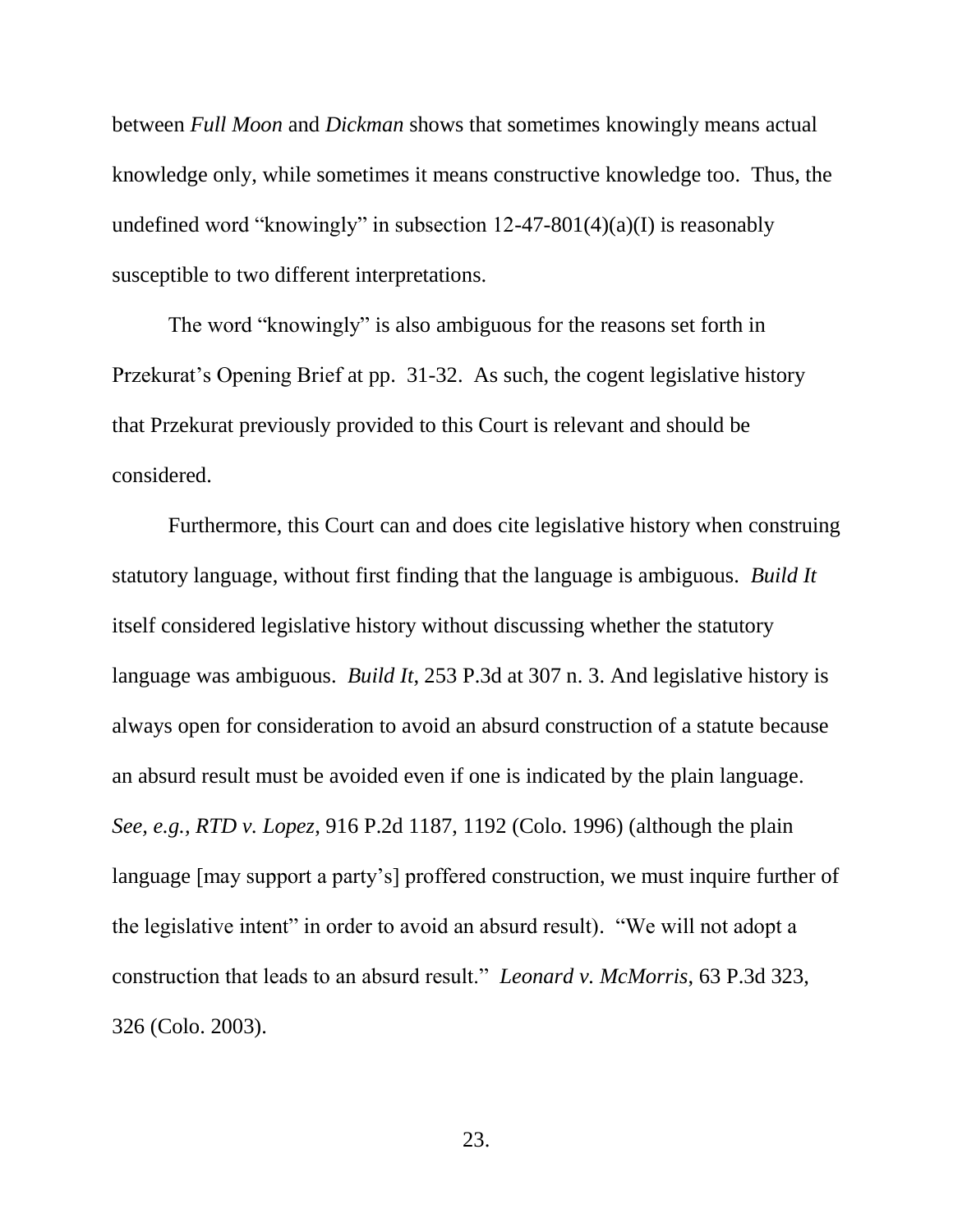between *Full Moon* and *Dickman* shows that sometimes knowingly means actual knowledge only, while sometimes it means constructive knowledge too. Thus, the undefined word "knowingly" in subsection  $12-47-801(4)(a)(I)$  is reasonably susceptible to two different interpretations.

The word "knowingly" is also ambiguous for the reasons set forth in Przekurat's Opening Brief at pp. 31-32. As such, the cogent legislative history that Przekurat previously provided to this Court is relevant and should be considered.

Furthermore, this Court can and does cite legislative history when construing statutory language, without first finding that the language is ambiguous. *Build It* itself considered legislative history without discussing whether the statutory language was ambiguous. *Build It*, 253 P.3d at 307 n. 3. And legislative history is always open for consideration to avoid an absurd construction of a statute because an absurd result must be avoided even if one is indicated by the plain language. *See, e.g., RTD v. Lopez*, 916 P.2d 1187, 1192 (Colo. 1996) (although the plain language [may support a party's] proffered construction, we must inquire further of the legislative intent" in order to avoid an absurd result). "We will not adopt a construction that leads to an absurd result." *Leonard v. McMorris*, 63 P.3d 323, 326 (Colo. 2003).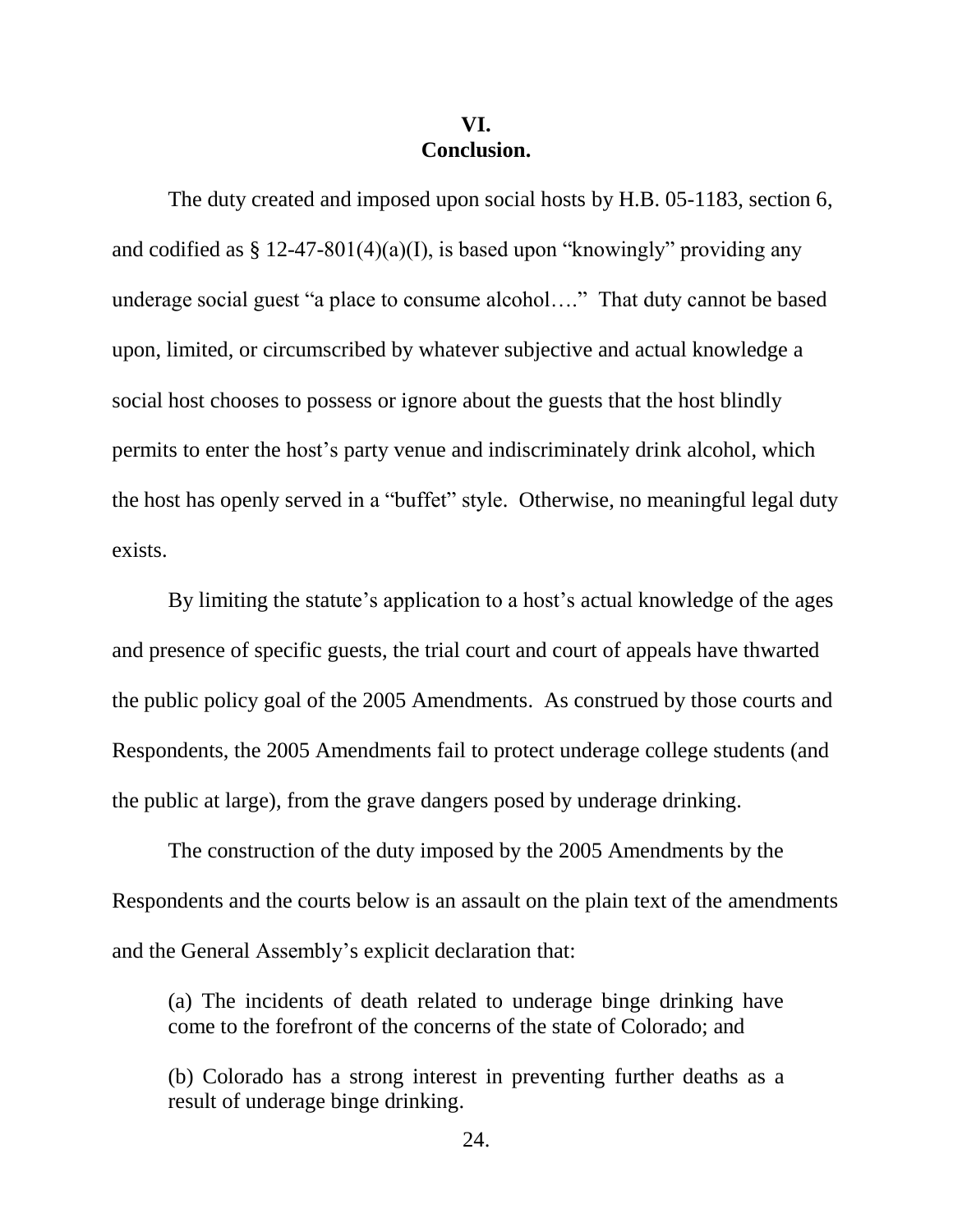### **VI. Conclusion.**

The duty created and imposed upon social hosts by H.B. 05-1183, section 6, and codified as  $\S 12-47-801(4)(a)$ (I), is based upon "knowingly" providing any underage social guest "a place to consume alcohol…." That duty cannot be based upon, limited, or circumscribed by whatever subjective and actual knowledge a social host chooses to possess or ignore about the guests that the host blindly permits to enter the host's party venue and indiscriminately drink alcohol, which the host has openly served in a "buffet" style. Otherwise, no meaningful legal duty exists.

By limiting the statute's application to a host's actual knowledge of the ages and presence of specific guests, the trial court and court of appeals have thwarted the public policy goal of the 2005 Amendments. As construed by those courts and Respondents, the 2005 Amendments fail to protect underage college students (and the public at large), from the grave dangers posed by underage drinking.

The construction of the duty imposed by the 2005 Amendments by the Respondents and the courts below is an assault on the plain text of the amendments and the General Assembly's explicit declaration that:

(a) The incidents of death related to underage binge drinking have come to the forefront of the concerns of the state of Colorado; and

(b) Colorado has a strong interest in preventing further deaths as a result of underage binge drinking.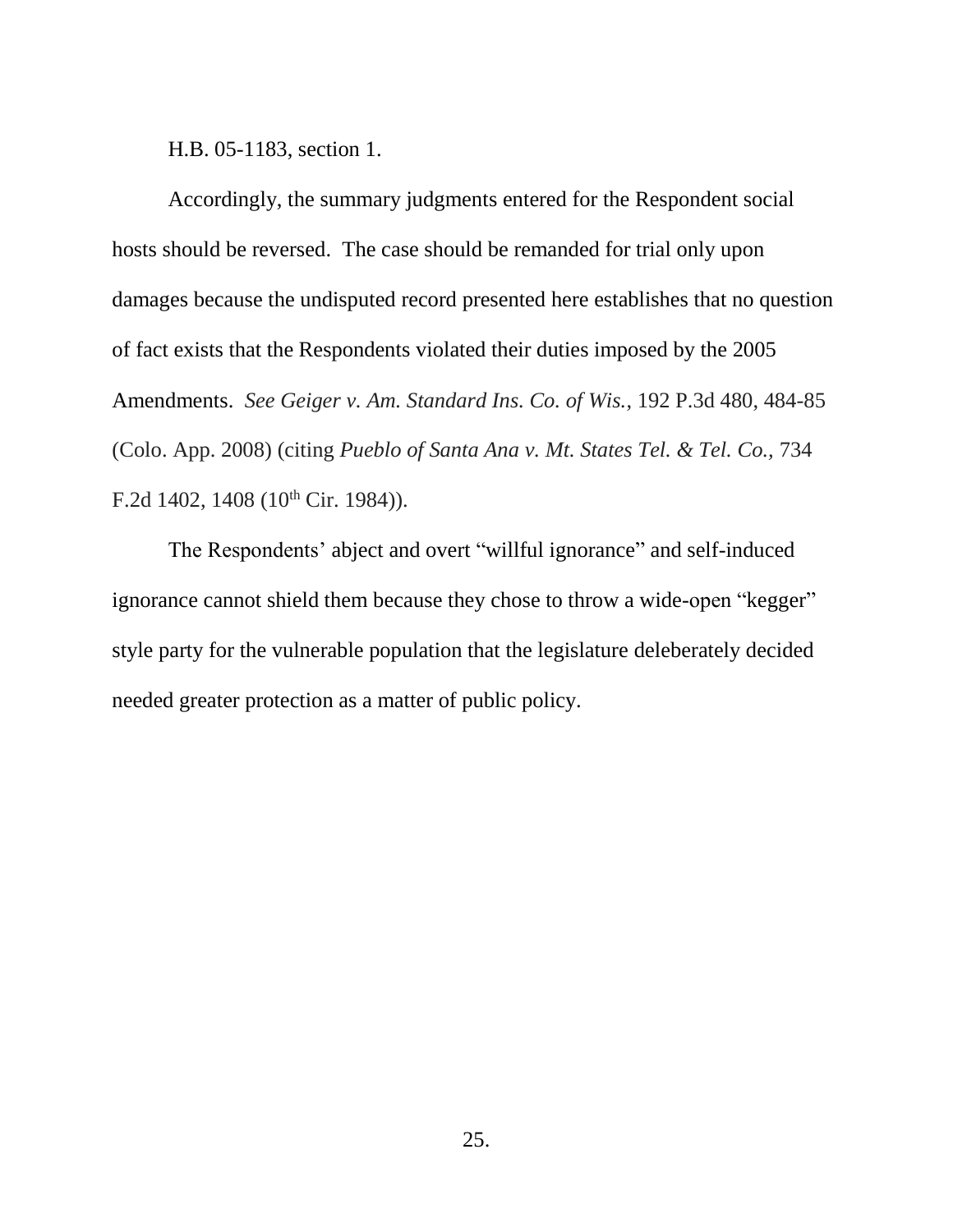H.B. 05-1183, section 1.

Accordingly, the summary judgments entered for the Respondent social hosts should be reversed. The case should be remanded for trial only upon damages because the undisputed record presented here establishes that no question of fact exists that the Respondents violated their duties imposed by the 2005 Amendments. *See Geiger v. Am. Standard Ins. Co. of Wis.*, 192 P.3d 480, 484-85 (Colo. App. 2008) (citing *Pueblo of Santa Ana v. Mt. States Tel. & Tel. Co.,* 734 F.2d 1402, 1408 ( $10^{th}$  Cir. 1984)).

The Respondents' abject and overt "willful ignorance" and self-induced ignorance cannot shield them because they chose to throw a wide-open "kegger" style party for the vulnerable population that the legislature deleberately decided needed greater protection as a matter of public policy.